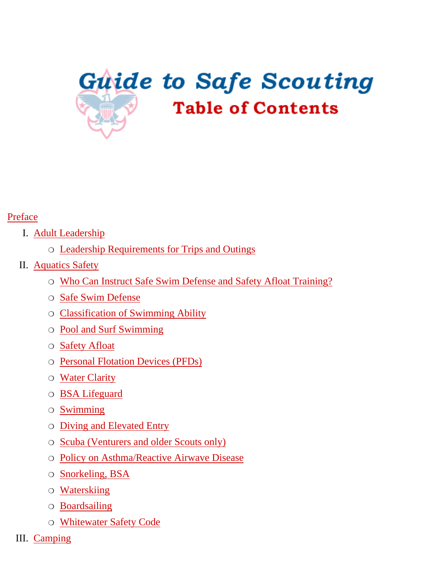<span id="page-0-0"></span>

#### [Preface](#page-4-0)

#### I. [Adult Leadership](#page-5-0)

- ❍ [Leadership Requirements for Trips and Outings](#page-5-1)
- II. [Aquatics Safety](#page-7-0)
	- ❍ Who Can Instruct Safe Swim Defense and Safety Afloat Training?
	- ❍ Safe Swim Defense
	- ❍ Classification of Swimming Ability
	- ❍ Pool and Surf Swimming
	- ❍ Safety Afloat
	- ❍ Personal Flotation Devices (PFDs)
	- ❍ Water Clarity
	- ❍ BSA Lifeguard
	- ❍ Swimming
	- ❍ Diving and Elevated Entry
	- ❍ Scuba (Venturers and older Scouts only)
	- ❍ Policy on Asthma/Reactive Airwave Disease
	- ❍ Snorkeling, BSA
	- ❍ Waterskiing
	- ❍ Boardsailing
	- ❍ Whitewater Safety Code
- III. [Camping](#page-21-0)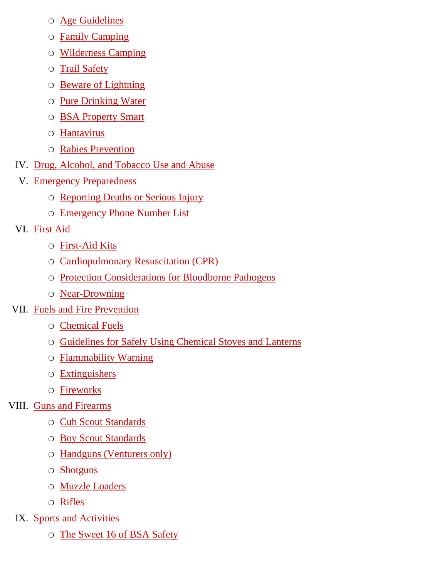- ❍ Age Guidelines
- ❍ Family Camping
- ❍ Wilderness Camping
- ❍ Trail Safety
- ❍ Beware of Lightning
- ❍ Pure Drinking Water
- ❍ BSA Property Smart
- ❍ Hantavirus
- ❍ Rabies Prevention
- IV. [Drug, Alcohol, and Tobacco Use and Abuse](#page-29-0)
	- V. [Emergency Preparedness](#page-30-0)
		- ❍ [Reporting Deaths or Serious Injury](#page-30-1)
		- ❍ [Emergency Phone Number List](#page-31-0)
- VI. [First Aid](#page-32-0)
	- ❍ [First-Aid Kits](#page-32-1)
	- ❍ [Cardiopulmonary Resuscitation \(CPR\)](#page-33-0)
	- ❍ [Protection Considerations for Bloodborne Pathogens](#page-33-1)
	- ❍ [Near-Drowning](#page-34-0)
- VII. [Fuels and Fire Prevention](#page-35-0)
	- ❍ [Chemical Fuels](#page-35-1)
	- ❍ [Guidelines for Safely Using Chemical Stoves and Lanterns](#page-35-2)
	- ❍ [Flammability Warning](#page-36-0)
	- ❍ [Extinguishers](#page-36-1)
	- ❍ [Fireworks](#page-37-0)
- VIII. [Guns and Firearms](#page-38-0)
	- ❍ [Cub Scout Standards](#page-38-1)
	- ❍ [Boy Scout Standards](#page-38-2)
	- ❍ [Handguns \(Venturers only\)](#page-38-3)
	- ❍ [Shotguns](#page-39-0)
	- ❍ [Muzzle Loaders](#page-39-1)
	- ❍ [Rifles](#page-39-2)
	- IX. [Sports and Activities](#page-41-0)
		- ❍ [The Sweet 16 of BSA Safety](#page-41-1)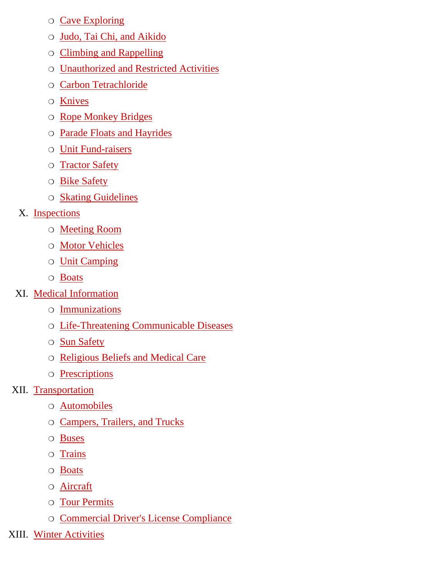- ❍ [Cave Exploring](#page-42-0)
- ❍ [Judo, Tai Chi, and Aikido](#page-43-0)
- ❍ [Climbing and Rappelling](#page-43-1)
- ❍ [Unauthorized and Restricted Activities](#page-45-0)
- ❍ [Carbon Tetrachloride](#page-46-0)
- ❍ [Knives](#page-46-1)
- ❍ [Rope Monkey Bridges](#page-47-0)
- ❍ [Parade Floats and Hayrides](#page-47-1)
- ❍ [Unit Fund-raisers](#page-48-0)
- ❍ [Tractor Safety](#page-48-1)
- ❍ [Bike Safety](#page-48-2)
- ❍ [Skating Guidelines](#page-50-0)
- X. [Inspections](#page-52-0)
	- ❍ Meeting Room
	- ❍ Motor Vehicles
	- ❍ Unit Camping
	- ❍ [Boats](#page-52-1)
- XI. [Medical Information](#page-53-0)
	- ❍ [Immunizations](#page-53-0)
	- ❍ [Life-Threatening Communicable Diseases](#page-54-0)
	- ❍ [Sun Safety](#page-54-1)
	- ❍ [Religious Beliefs and Medical Care](#page-54-2)
	- ❍ [Prescriptions](#page-55-0)
- XII. [Transportation](#page-56-0)
	- ❍ [Automobiles](#page-56-1)
	- ❍ [Campers, Trailers, and Trucks](#page-57-0)
	- ❍ [Buses](#page-57-1)
	- ❍ [Trains](#page-58-0)
	- ❍ [Boats](#page-58-1)
	- ❍ [Aircraft](#page-59-0)
	- ❍ [Tour Permits](#page-59-1)
	- ❍ [Commercial Driver's License Compliance](#page-60-0)
- XIII. [Winter Activities](#page-62-0)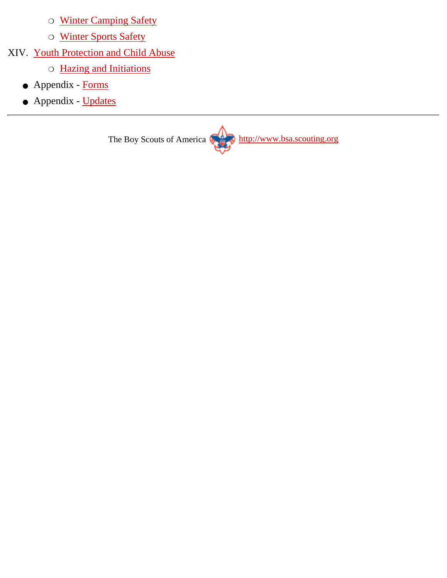- ❍ Winter Camping Safety
- ❍ Winter Sports Safety
- XIV. [Youth Protection and Child Abuse](#page-65-0)
	- ❍ Hazing and Initiations
	- Appendix [Forms](http://www.scouting.org/pubs/gss/gssax.html)
	- Appendix [Updates](http://www.scouting.org/pubs/gss/gssay.html)

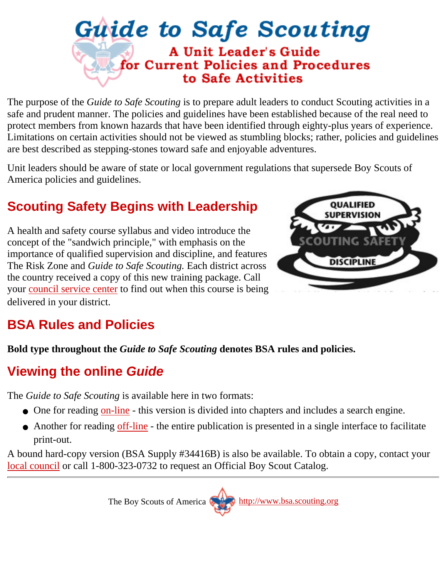### <span id="page-4-0"></span>**Guide to Safe Scouting A Unit Leader's Guide** for Current Policies and Procedures to Safe Activities

The purpose of the *Guide to Safe Scouting* is to prepare adult leaders to conduct Scouting activities in a safe and prudent manner. The policies and guidelines have been established because of the real need to protect members from known hazards that have been identified through eighty-plus years of experience. Limitations on certain activities should not be viewed as stumbling blocks; rather, policies and guidelines are best described as stepping-stones toward safe and enjoyable adventures.

Unit leaders should be aware of state or local government regulations that supersede Boy Scouts of America policies and guidelines.

### **Scouting Safety Begins with Leadership**

A health and safety course syllabus and video introduce the concept of the "sandwich principle," with emphasis on the importance of qualified supervision and discipline, and features The Risk Zone and *Guide to Safe Scouting.* Each district across the country received a copy of this new training package. Call your [council service center](http://www.scouting.org/councils/index.html) to find out when this course is being delivered in your district.



### **BSA Rules and Policies**

**Bold type throughout the** *Guide to Safe Scouting* **denotes BSA rules and policies.**

### **Viewing the online** *Guide*

The *Guide to Safe Scouting* is available here in two formats:

- One for reading [on-line](#page-0-0)  this version is divided into chapters and includes a search engine.
- Another for reading [off-line](http://www.scouting.org/cgi/gss/viewall.pl)  the entire publication is presented in a single interface to facilitate print-out.

A bound hard-copy version (BSA Supply #34416B) is also be available. To obtain a copy, contact your [local council](http://www.scouting.org/councils/index.html) or call 1-800-323-0732 to request an Official Boy Scout Catalog.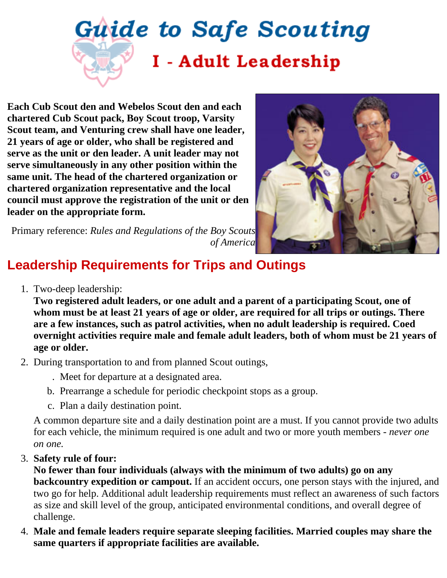# <span id="page-5-0"></span>**Guide to Safe Scouting** I - Adult Leadership

**Each Cub Scout den and Webelos Scout den and each chartered Cub Scout pack, Boy Scout troop, Varsity Scout team, and Venturing crew shall have one leader, 21 years of age or older, who shall be registered and serve as the unit or den leader. A unit leader may not serve simultaneously in any other position within the same unit. The head of the chartered organization or chartered organization representative and the local council must approve the registration of the unit or den leader on the appropriate form.**



Primary reference: *Rules and Regulations of the Boy Scouts of America*

### <span id="page-5-1"></span>**Leadership Requirements for Trips and Outings**

1. Two-deep leadership:

**Two registered adult leaders, or one adult and a parent of a participating Scout, one of whom must be at least 21 years of age or older, are required for all trips or outings. There are a few instances, such as patrol activities, when no adult leadership is required. Coed overnight activities require male and female adult leaders, both of whom must be 21 years of age or older.**

- 2. During transportation to and from planned Scout outings,
	- . Meet for departure at a designated area.
	- b. Prearrange a schedule for periodic checkpoint stops as a group.
	- c. Plan a daily destination point.

A common departure site and a daily destination point are a must. If you cannot provide two adults for each vehicle, the minimum required is one adult and two or more youth members - *never one on one.*

**Safety rule of four:** 3.

**No fewer than four individuals (always with the minimum of two adults) go on any backcountry expedition or campout.** If an accident occurs, one person stays with the injured, and two go for help. Additional adult leadership requirements must reflect an awareness of such factors as size and skill level of the group, anticipated environmental conditions, and overall degree of challenge.

**Male and female leaders require separate sleeping facilities. Married couples may share the** 4. **same quarters if appropriate facilities are available.**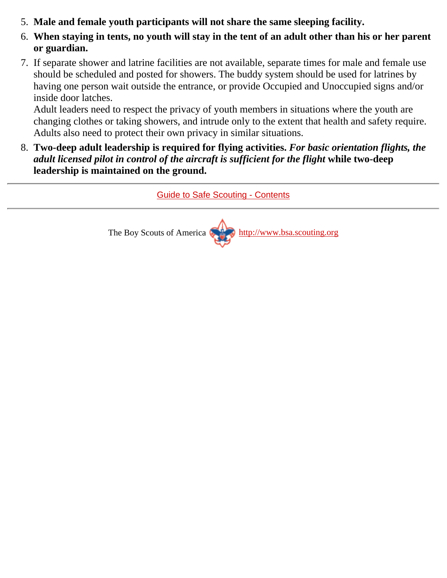- 5. **Male and female youth participants will not share the same sleeping facility.**
- **When staying in tents, no youth will stay in the tent of an adult other than his or her parent** 6. **or guardian.**
- If separate shower and latrine facilities are not available, separate times for male and female use 7. should be scheduled and posted for showers. The buddy system should be used for latrines by having one person wait outside the entrance, or provide Occupied and Unoccupied signs and/or inside door latches.

Adult leaders need to respect the privacy of youth members in situations where the youth are changing clothes or taking showers, and intrude only to the extent that health and safety require. Adults also need to protect their own privacy in similar situations.

**Two-deep adult leadership is required for flying activities.** *For basic orientation flights, the* 8. *adult licensed pilot in control of the aircraft is sufficient for the flight* **while two-deep leadership is maintained on the ground.**

[Guide to Safe Scouting - Contents](#page-0-0)

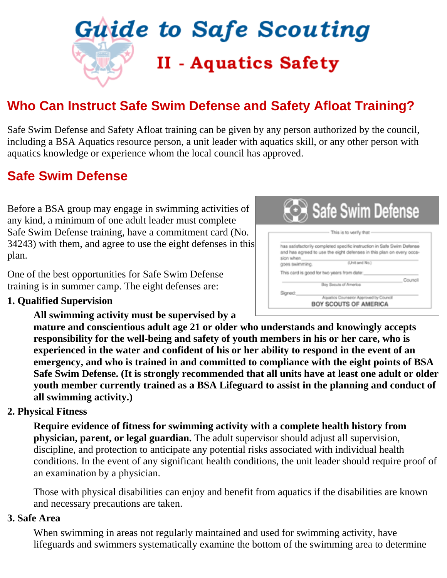<span id="page-7-0"></span>

### **Who Can Instruct Safe Swim Defense and Safety Afloat Training?**

Safe Swim Defense and Safety Afloat training can be given by any person authorized by the council, including a BSA Aquatics resource person, a unit leader with aquatics skill, or any other person with aquatics knowledge or experience whom the local council has approved.

### **Safe Swim Defense**

Before a BSA group may engage in swimming activities of any kind, a minimum of one adult leader must complete Safe Swim Defense training, have a commitment card (No. 34243) with them, and agree to use the eight defenses in this plan.

One of the best opportunities for Safe Swim Defense training is in summer camp. The eight defenses are:

#### **1. Qualified Supervision**

**All swimming activity must be supervised by a**

Safe Swim Defense This is to verify that has satisfactorily completed specific instruction in Safe Swim Defense and has agreed to use the eight defenses in this plan on every occasion when (Unit and No.) goes swimming. This card is good for two years from date: Council Boy Socuts of America Signed: Aguatios Counselor Approved by Council BOY SCOUTS OF AMERICA

**mature and conscientious adult age 21 or older who understands and knowingly accepts responsibility for the well-being and safety of youth members in his or her care, who is experienced in the water and confident of his or her ability to respond in the event of an emergency, and who is trained in and committed to compliance with the eight points of BSA Safe Swim Defense. (It is strongly recommended that all units have at least one adult or older youth member currently trained as a BSA Lifeguard to assist in the planning and conduct of all swimming activity.)**

#### **2. Physical Fitness**

**Require evidence of fitness for swimming activity with a complete health history from physician, parent, or legal guardian.** The adult supervisor should adjust all supervision, discipline, and protection to anticipate any potential risks associated with individual health conditions. In the event of any significant health conditions, the unit leader should require proof of an examination by a physician.

Those with physical disabilities can enjoy and benefit from aquatics if the disabilities are known and necessary precautions are taken.

#### **3. Safe Area**

When swimming in areas not regularly maintained and used for swimming activity, have lifeguards and swimmers systematically examine the bottom of the swimming area to determine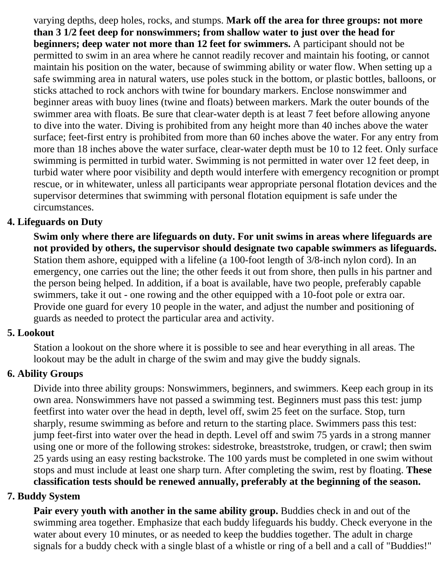varying depths, deep holes, rocks, and stumps. **Mark off the area for three groups: not more than 3 1/2 feet deep for nonswimmers; from shallow water to just over the head for beginners; deep water not more than 12 feet for swimmers.** A participant should not be permitted to swim in an area where he cannot readily recover and maintain his footing, or cannot maintain his position on the water, because of swimming ability or water flow. When setting up a safe swimming area in natural waters, use poles stuck in the bottom, or plastic bottles, balloons, or sticks attached to rock anchors with twine for boundary markers. Enclose nonswimmer and beginner areas with buoy lines (twine and floats) between markers. Mark the outer bounds of the swimmer area with floats. Be sure that clear-water depth is at least 7 feet before allowing anyone to dive into the water. Diving is prohibited from any height more than 40 inches above the water surface; feet-first entry is prohibited from more than 60 inches above the water. For any entry from more than 18 inches above the water surface, clear-water depth must be 10 to 12 feet. Only surface swimming is permitted in turbid water. Swimming is not permitted in water over 12 feet deep, in turbid water where poor visibility and depth would interfere with emergency recognition or prompt rescue, or in whitewater, unless all participants wear appropriate personal flotation devices and the supervisor determines that swimming with personal flotation equipment is safe under the circumstances.

#### **4. Lifeguards on Duty**

**Swim only where there are lifeguards on duty. For unit swims in areas where lifeguards are not provided by others, the supervisor should designate two capable swimmers as lifeguards.** Station them ashore, equipped with a lifeline (a 100-foot length of 3/8-inch nylon cord). In an emergency, one carries out the line; the other feeds it out from shore, then pulls in his partner and the person being helped. In addition, if a boat is available, have two people, preferably capable swimmers, take it out - one rowing and the other equipped with a 10-foot pole or extra oar. Provide one guard for every 10 people in the water, and adjust the number and positioning of guards as needed to protect the particular area and activity.

#### **5. Lookout**

Station a lookout on the shore where it is possible to see and hear everything in all areas. The lookout may be the adult in charge of the swim and may give the buddy signals.

#### **6. Ability Groups**

Divide into three ability groups: Nonswimmers, beginners, and swimmers. Keep each group in its own area. Nonswimmers have not passed a swimming test. Beginners must pass this test: jump feetfirst into water over the head in depth, level off, swim 25 feet on the surface. Stop, turn sharply, resume swimming as before and return to the starting place. Swimmers pass this test: jump feet-first into water over the head in depth. Level off and swim 75 yards in a strong manner using one or more of the following strokes: sidestroke, breaststroke, trudgen, or crawl; then swim 25 yards using an easy resting backstroke. The 100 yards must be completed in one swim without stops and must include at least one sharp turn. After completing the swim, rest by floating. **These classification tests should be renewed annually, preferably at the beginning of the season.**

#### **7. Buddy System**

**Pair every youth with another in the same ability group.** Buddies check in and out of the swimming area together. Emphasize that each buddy lifeguards his buddy. Check everyone in the water about every 10 minutes, or as needed to keep the buddies together. The adult in charge signals for a buddy check with a single blast of a whistle or ring of a bell and a call of "Buddies!"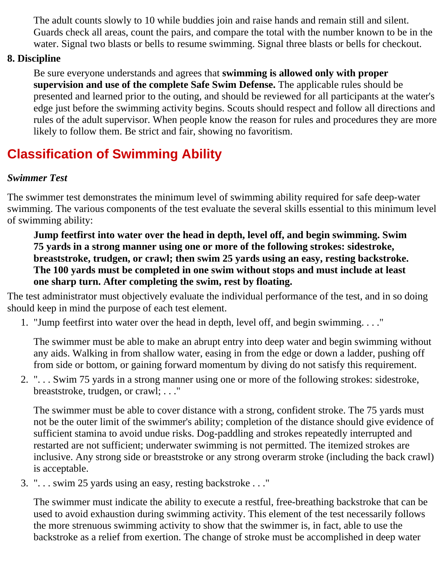The adult counts slowly to 10 while buddies join and raise hands and remain still and silent. Guards check all areas, count the pairs, and compare the total with the number known to be in the water. Signal two blasts or bells to resume swimming. Signal three blasts or bells for checkout.

#### **8. Discipline**

Be sure everyone understands and agrees that **swimming is allowed only with proper supervision and use of the complete Safe Swim Defense.** The applicable rules should be presented and learned prior to the outing, and should be reviewed for all participants at the water's edge just before the swimming activity begins. Scouts should respect and follow all directions and rules of the adult supervisor. When people know the reason for rules and procedures they are more likely to follow them. Be strict and fair, showing no favoritism.

### **Classification of Swimming Ability**

#### *Swimmer Test*

The swimmer test demonstrates the minimum level of swimming ability required for safe deep-water swimming. The various components of the test evaluate the several skills essential to this minimum level of swimming ability:

**Jump feetfirst into water over the head in depth, level off, and begin swimming. Swim 75 yards in a strong manner using one or more of the following strokes: sidestroke, breaststroke, trudgen, or crawl; then swim 25 yards using an easy, resting backstroke. The 100 yards must be completed in one swim without stops and must include at least one sharp turn. After completing the swim, rest by floating.**

The test administrator must objectively evaluate the individual performance of the test, and in so doing should keep in mind the purpose of each test element.

"Jump feetfirst into water over the head in depth, level off, and begin swimming. . . ." 1.

The swimmer must be able to make an abrupt entry into deep water and begin swimming without any aids. Walking in from shallow water, easing in from the edge or down a ladder, pushing off from side or bottom, or gaining forward momentum by diving do not satisfy this requirement.

". . . Swim 75 yards in a strong manner using one or more of the following strokes: sidestroke, 2. breaststroke, trudgen, or crawl; . . ."

The swimmer must be able to cover distance with a strong, confident stroke. The 75 yards must not be the outer limit of the swimmer's ability; completion of the distance should give evidence of sufficient stamina to avoid undue risks. Dog-paddling and strokes repeatedly interrupted and restarted are not sufficient; underwater swimming is not permitted. The itemized strokes are inclusive. Any strong side or breaststroke or any strong overarm stroke (including the back crawl) is acceptable.

". . . swim 25 yards using an easy, resting backstroke . . ." 3.

The swimmer must indicate the ability to execute a restful, free-breathing backstroke that can be used to avoid exhaustion during swimming activity. This element of the test necessarily follows the more strenuous swimming activity to show that the swimmer is, in fact, able to use the backstroke as a relief from exertion. The change of stroke must be accomplished in deep water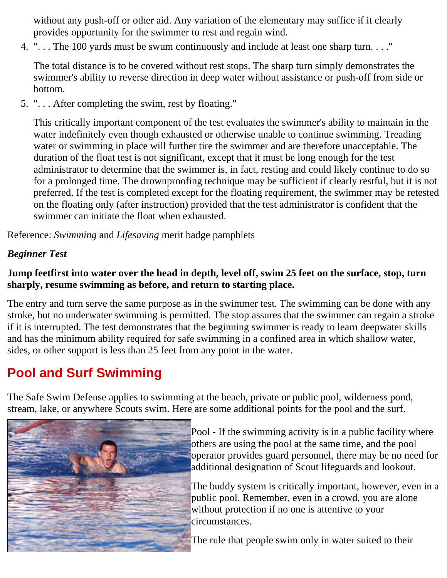without any push-off or other aid. Any variation of the elementary may suffice if it clearly provides opportunity for the swimmer to rest and regain wind.

". . . The 100 yards must be swum continuously and include at least one sharp turn. . . ." 4.

The total distance is to be covered without rest stops. The sharp turn simply demonstrates the swimmer's ability to reverse direction in deep water without assistance or push-off from side or bottom.

". . . After completing the swim, rest by floating." 5.

This critically important component of the test evaluates the swimmer's ability to maintain in the water indefinitely even though exhausted or otherwise unable to continue swimming. Treading water or swimming in place will further tire the swimmer and are therefore unacceptable. The duration of the float test is not significant, except that it must be long enough for the test administrator to determine that the swimmer is, in fact, resting and could likely continue to do so for a prolonged time. The drownproofing technique may be sufficient if clearly restful, but it is not preferred. If the test is completed except for the floating requirement, the swimmer may be retested on the floating only (after instruction) provided that the test administrator is confident that the swimmer can initiate the float when exhausted.

Reference: *Swimming* and *Lifesaving* merit badge pamphlets

#### *Beginner Test*

#### **Jump feetfirst into water over the head in depth, level off, swim 25 feet on the surface, stop, turn sharply, resume swimming as before, and return to starting place.**

The entry and turn serve the same purpose as in the swimmer test. The swimming can be done with any stroke, but no underwater swimming is permitted. The stop assures that the swimmer can regain a stroke if it is interrupted. The test demonstrates that the beginning swimmer is ready to learn deepwater skills and has the minimum ability required for safe swimming in a confined area in which shallow water, sides, or other support is less than 25 feet from any point in the water.

### **Pool and Surf Swimming**

The Safe Swim Defense applies to swimming at the beach, private or public pool, wilderness pond, stream, lake, or anywhere Scouts swim. Here are some additional points for the pool and the surf.



Pool - If the swimming activity is in a public facility where others are using the pool at the same time, and the pool operator provides guard personnel, there may be no need for additional designation of Scout lifeguards and lookout.

The buddy system is critically important, however, even in a public pool. Remember, even in a crowd, you are alone without protection if no one is attentive to your circumstances.

The rule that people swim only in water suited to their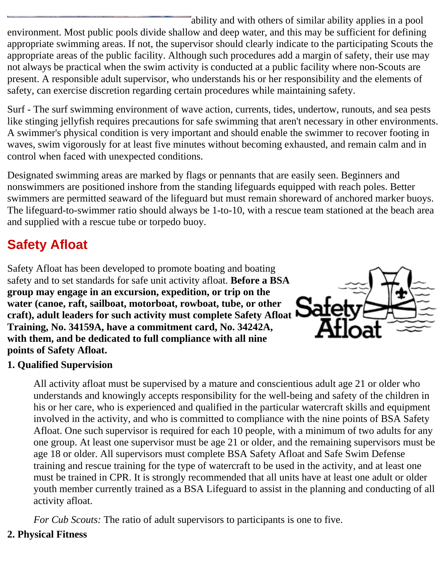ability and with others of similar ability applies in a pool environment. Most public pools divide shallow and deep water, and this may be sufficient for defining appropriate swimming areas. If not, the supervisor should clearly indicate to the participating Scouts the appropriate areas of the public facility. Although such procedures add a margin of safety, their use may not always be practical when the swim activity is conducted at a public facility where non-Scouts are present. A responsible adult supervisor, who understands his or her responsibility and the elements of safety, can exercise discretion regarding certain procedures while maintaining safety.

Surf - The surf swimming environment of wave action, currents, tides, undertow, runouts, and sea pests like stinging jellyfish requires precautions for safe swimming that aren't necessary in other environments. A swimmer's physical condition is very important and should enable the swimmer to recover footing in waves, swim vigorously for at least five minutes without becoming exhausted, and remain calm and in control when faced with unexpected conditions.

Designated swimming areas are marked by flags or pennants that are easily seen. Beginners and nonswimmers are positioned inshore from the standing lifeguards equipped with reach poles. Better swimmers are permitted seaward of the lifeguard but must remain shoreward of anchored marker buoys. The lifeguard-to-swimmer ratio should always be 1-to-10, with a rescue team stationed at the beach area and supplied with a rescue tube or torpedo buoy.

### **Safety Afloat**

Safety Afloat has been developed to promote boating and boating safety and to set standards for safe unit activity afloat. **Before a BSA group may engage in an excursion, expedition, or trip on the water (canoe, raft, sailboat, motorboat, rowboat, tube, or other craft), adult leaders for such activity must complete Safety Afloat Training, No. 34159A, have a commitment card, No. 34242A, with them, and be dedicated to full compliance with all nine points of Safety Afloat.**



#### **1. Qualified Supervision**

All activity afloat must be supervised by a mature and conscientious adult age 21 or older who understands and knowingly accepts responsibility for the well-being and safety of the children in his or her care, who is experienced and qualified in the particular watercraft skills and equipment involved in the activity, and who is committed to compliance with the nine points of BSA Safety Afloat. One such supervisor is required for each 10 people, with a minimum of two adults for any one group. At least one supervisor must be age 21 or older, and the remaining supervisors must be age 18 or older. All supervisors must complete BSA Safety Afloat and Safe Swim Defense training and rescue training for the type of watercraft to be used in the activity, and at least one must be trained in CPR. It is strongly recommended that all units have at least one adult or older youth member currently trained as a BSA Lifeguard to assist in the planning and conducting of all activity afloat.

*For Cub Scouts:* The ratio of adult supervisors to participants is one to five.

#### **2. Physical Fitness**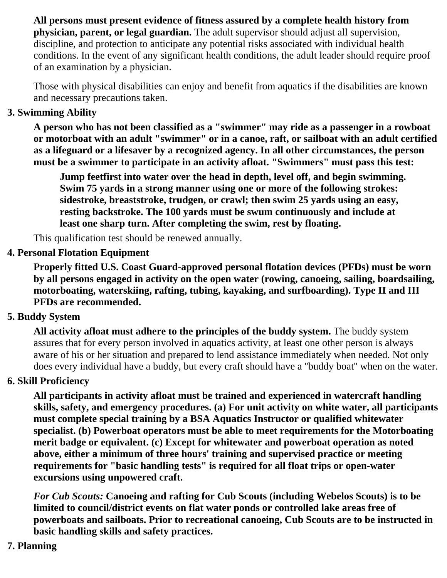**All persons must present evidence of fitness assured by a complete health history from physician, parent, or legal guardian.** The adult supervisor should adjust all supervision, discipline, and protection to anticipate any potential risks associated with individual health conditions. In the event of any significant health conditions, the adult leader should require proof of an examination by a physician.

Those with physical disabilities can enjoy and benefit from aquatics if the disabilities are known and necessary precautions taken.

#### **3. Swimming Ability**

**A person who has not been classified as a "swimmer" may ride as a passenger in a rowboat or motorboat with an adult "swimmer" or in a canoe, raft, or sailboat with an adult certified as a lifeguard or a lifesaver by a recognized agency. In all other circumstances, the person must be a swimmer to participate in an activity afloat. "Swimmers" must pass this test:**

**Jump feetfirst into water over the head in depth, level off, and begin swimming. Swim 75 yards in a strong manner using one or more of the following strokes: sidestroke, breaststroke, trudgen, or crawl; then swim 25 yards using an easy, resting backstroke. The 100 yards must be swum continuously and include at least one sharp turn. After completing the swim, rest by floating.**

This qualification test should be renewed annually.

#### **4. Personal Flotation Equipment**

**Properly fitted U.S. Coast Guard-approved personal flotation devices (PFDs) must be worn by all persons engaged in activity on the open water (rowing, canoeing, sailing, boardsailing, motorboating, waterskiing, rafting, tubing, kayaking, and surfboarding). Type II and III PFDs are recommended.**

#### **5. Buddy System**

**All activity afloat must adhere to the principles of the buddy system.** The buddy system assures that for every person involved in aquatics activity, at least one other person is always aware of his or her situation and prepared to lend assistance immediately when needed. Not only does every individual have a buddy, but every craft should have a ''buddy boat'' when on the water.

#### **6. Skill Proficiency**

**All participants in activity afloat must be trained and experienced in watercraft handling skills, safety, and emergency procedures. (a) For unit activity on white water, all participants must complete special training by a BSA Aquatics Instructor or qualified whitewater specialist. (b) Powerboat operators must be able to meet requirements for the Motorboating merit badge or equivalent. (c) Except for whitewater and powerboat operation as noted above, either a minimum of three hours' training and supervised practice or meeting requirements for "basic handling tests" is required for all float trips or open-water excursions using unpowered craft.**

*For Cub Scouts:* **Canoeing and rafting for Cub Scouts (including Webelos Scouts) is to be limited to council/district events on flat water ponds or controlled lake areas free of powerboats and sailboats. Prior to recreational canoeing, Cub Scouts are to be instructed in basic handling skills and safety practices.**

#### **7. Planning**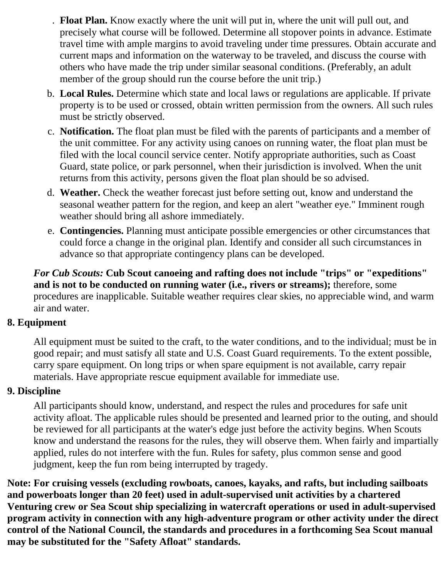- **Float Plan.** Know exactly where the unit will put in, where the unit will pull out, and . precisely what course will be followed. Determine all stopover points in advance. Estimate travel time with ample margins to avoid traveling under time pressures. Obtain accurate and current maps and information on the waterway to be traveled, and discuss the course with others who have made the trip under similar seasonal conditions. (Preferably, an adult member of the group should run the course before the unit trip.)
- **Local Rules.** Determine which state and local laws or regulations are applicable. If private b. property is to be used or crossed, obtain written permission from the owners. All such rules must be strictly observed.
- c. Notification. The float plan must be filed with the parents of participants and a member of the unit committee. For any activity using canoes on running water, the float plan must be filed with the local council service center. Notify appropriate authorities, such as Coast Guard, state police, or park personnel, when their jurisdiction is involved. When the unit returns from this activity, persons given the float plan should be so advised.
- **Weather.** Check the weather forecast just before setting out, know and understand the d. seasonal weather pattern for the region, and keep an alert "weather eye." Imminent rough weather should bring all ashore immediately.
- e. Contingencies. Planning must anticipate possible emergencies or other circumstances that could force a change in the original plan. Identify and consider all such circumstances in advance so that appropriate contingency plans can be developed.

*For Cub Scouts:* **Cub Scout canoeing and rafting does not include "trips" or "expeditions" and is not to be conducted on running water (i.e., rivers or streams);** therefore, some procedures are inapplicable. Suitable weather requires clear skies, no appreciable wind, and warm air and water.

#### **8. Equipment**

All equipment must be suited to the craft, to the water conditions, and to the individual; must be in good repair; and must satisfy all state and U.S. Coast Guard requirements. To the extent possible, carry spare equipment. On long trips or when spare equipment is not available, carry repair materials. Have appropriate rescue equipment available for immediate use.

#### **9. Discipline**

All participants should know, understand, and respect the rules and procedures for safe unit activity afloat. The applicable rules should be presented and learned prior to the outing, and should be reviewed for all participants at the water's edge just before the activity begins. When Scouts know and understand the reasons for the rules, they will observe them. When fairly and impartially applied, rules do not interfere with the fun. Rules for safety, plus common sense and good judgment, keep the fun rom being interrupted by tragedy.

**Note: For cruising vessels (excluding rowboats, canoes, kayaks, and rafts, but including sailboats and powerboats longer than 20 feet) used in adult-supervised unit activities by a chartered Venturing crew or Sea Scout ship specializing in watercraft operations or used in adult-supervised program activity in connection with any high-adventure program or other activity under the direct control of the National Council, the standards and procedures in a forthcoming Sea Scout manual may be substituted for the "Safety Afloat" standards.**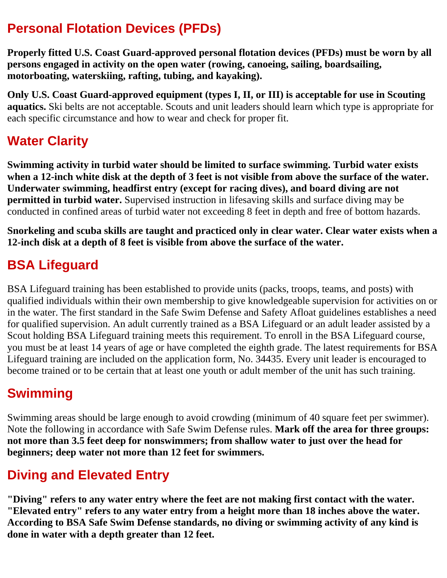### **Personal Flotation Devices (PFDs)**

**Properly fitted U.S. Coast Guard-approved personal flotation devices (PFDs) must be worn by all persons engaged in activity on the open water (rowing, canoeing, sailing, boardsailing, motorboating, waterskiing, rafting, tubing, and kayaking).**

**Only U.S. Coast Guard-approved equipment (types I, II, or III) is acceptable for use in Scouting aquatics.** Ski belts are not acceptable. Scouts and unit leaders should learn which type is appropriate for each specific circumstance and how to wear and check for proper fit.

### **Water Clarity**

**Swimming activity in turbid water should be limited to surface swimming. Turbid water exists when a 12-inch white disk at the depth of 3 feet is not visible from above the surface of the water. Underwater swimming, headfirst entry (except for racing dives), and board diving are not permitted in turbid water.** Supervised instruction in lifesaving skills and surface diving may be conducted in confined areas of turbid water not exceeding 8 feet in depth and free of bottom hazards.

**Snorkeling and scuba skills are taught and practiced only in clear water. Clear water exists when a 12-inch disk at a depth of 8 feet is visible from above the surface of the water.**

### **BSA Lifeguard**

BSA Lifeguard training has been established to provide units (packs, troops, teams, and posts) with qualified individuals within their own membership to give knowledgeable supervision for activities on or in the water. The first standard in the Safe Swim Defense and Safety Afloat guidelines establishes a need for qualified supervision. An adult currently trained as a BSA Lifeguard or an adult leader assisted by a Scout holding BSA Lifeguard training meets this requirement. To enroll in the BSA Lifeguard course, you must be at least 14 years of age or have completed the eighth grade. The latest requirements for BSA Lifeguard training are included on the application form, No. 34435. Every unit leader is encouraged to become trained or to be certain that at least one youth or adult member of the unit has such training.

### **Swimming**

Swimming areas should be large enough to avoid crowding (minimum of 40 square feet per swimmer). Note the following in accordance with Safe Swim Defense rules. **Mark off the area for three groups: not more than 3.5 feet deep for nonswimmers; from shallow water to just over the head for beginners; deep water not more than 12 feet for swimmers.**

### **Diving and Elevated Entry**

**"Diving" refers to any water entry where the feet are not making first contact with the water. "Elevated entry" refers to any water entry from a height more than 18 inches above the water. According to BSA Safe Swim Defense standards, no diving or swimming activity of any kind is done in water with a depth greater than 12 feet.**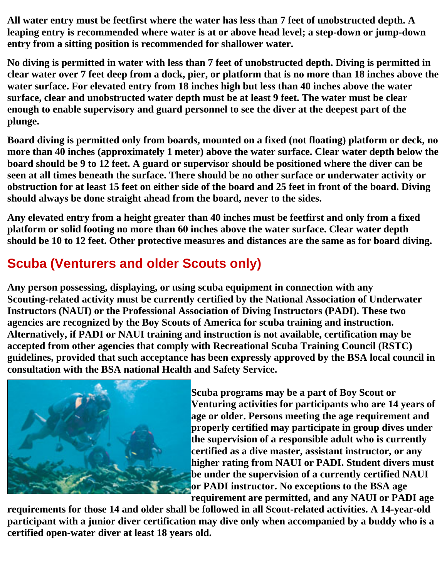**All water entry must be feetfirst where the water has less than 7 feet of unobstructed depth. A leaping entry is recommended where water is at or above head level; a step-down or jump-down entry from a sitting position is recommended for shallower water.**

**No diving is permitted in water with less than 7 feet of unobstructed depth. Diving is permitted in clear water over 7 feet deep from a dock, pier, or platform that is no more than 18 inches above the water surface. For elevated entry from 18 inches high but less than 40 inches above the water surface, clear and unobstructed water depth must be at least 9 feet. The water must be clear enough to enable supervisory and guard personnel to see the diver at the deepest part of the plunge.**

**Board diving is permitted only from boards, mounted on a fixed (not floating) platform or deck, no more than 40 inches (approximately 1 meter) above the water surface. Clear water depth below the board should be 9 to 12 feet. A guard or supervisor should be positioned where the diver can be seen at all times beneath the surface. There should be no other surface or underwater activity or obstruction for at least 15 feet on either side of the board and 25 feet in front of the board. Diving should always be done straight ahead from the board, never to the sides.**

**Any elevated entry from a height greater than 40 inches must be feetfirst and only from a fixed platform or solid footing no more than 60 inches above the water surface. Clear water depth should be 10 to 12 feet. Other protective measures and distances are the same as for board diving.**

### **Scuba (Venturers and older Scouts only)**

**Any person possessing, displaying, or using scuba equipment in connection with any Scouting-related activity must be currently certified by the National Association of Underwater Instructors (NAUI) or the Professional Association of Diving Instructors (PADI). These two agencies are recognized by the Boy Scouts of America for scuba training and instruction. Alternatively, if PADI or NAUI training and instruction is not available, certification may be accepted from other agencies that comply with Recreational Scuba Training Council (RSTC) guidelines, provided that such acceptance has been expressly approved by the BSA local council in consultation with the BSA national Health and Safety Service.**



**Scuba programs may be a part of Boy Scout or Venturing activities for participants who are 14 years of age or older. Persons meeting the age requirement and properly certified may participate in group dives under the supervision of a responsible adult who is currently certified as a dive master, assistant instructor, or any higher rating from NAUI or PADI. Student divers must be under the supervision of a currently certified NAUI or PADI instructor. No exceptions to the BSA age requirement are permitted, and any NAUI or PADI age**

**requirements for those 14 and older shall be followed in all Scout-related activities. A 14-year-old participant with a junior diver certification may dive only when accompanied by a buddy who is a certified open-water diver at least 18 years old.**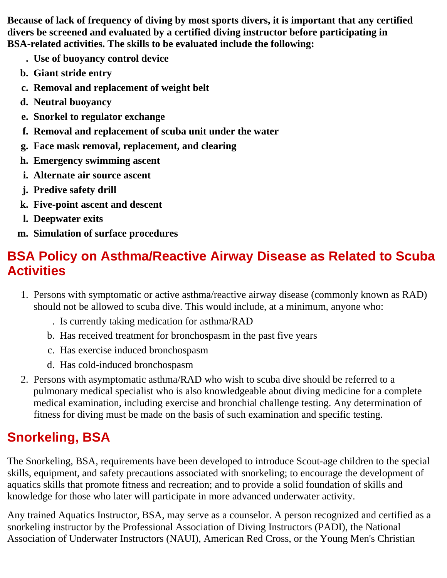**Because of lack of frequency of diving by most sports divers, it is important that any certified divers be screened and evaluated by a certified diving instructor before participating in BSA-related activities. The skills to be evaluated include the following:**

- **Use of buoyancy control device.**
- **b.** Giant stride entry
- **c.** Removal and replacement of weight belt
- d. Neutral buoyancy
- **e.** Snorkel to regulator exchange
- f. Removal and replacement of scuba unit under the water
- **Face mask removal, replacement, and clearingg.**
- **h.** Emergency swimming ascent
- **i.** Alternate air source ascent
- **j.** Predive safety drill
- **k.** Five-point ascent and descent
- **l.** Deepwater exits
- **m.** Simulation of surface procedures

### **BSA Policy on Asthma/Reactive Airway Disease as Related to Scuba Activities**

- 1. Persons with symptomatic or active asthma/reactive airway disease (commonly known as RAD) should not be allowed to scuba dive. This would include, at a minimum, anyone who:
	- Is currently taking medication for asthma/RAD.
	- b. Has received treatment for bronchospasm in the past five years
	- c. Has exercise induced bronchospasm.
	- d. Has cold-induced bronchospasm
- 2. Persons with asymptomatic asthma/RAD who wish to scuba dive should be referred to a pulmonary medical specialist who is also knowledgeable about diving medicine for a complete medical examination, including exercise and bronchial challenge testing. Any determination of fitness for diving must be made on the basis of such examination and specific testing.

## **Snorkeling, BSA**

The Snorkeling, BSA, requirements have been developed to introduce Scout-age children to the special skills, equipment, and safety precautions associated with snorkeling; to encourage the development of aquatics skills that promote fitness and recreation; and to provide a solid foundation of skills and knowledge for those who later will participate in more advanced underwater activity.

Any trained Aquatics Instructor, BSA, may serve as a counselor. A person recognized and certified as a snorkeling instructor by the Professional Association of Diving Instructors (PADI), the National Association of Underwater Instructors (NAUI), American Red Cross, or the Young Men's Christian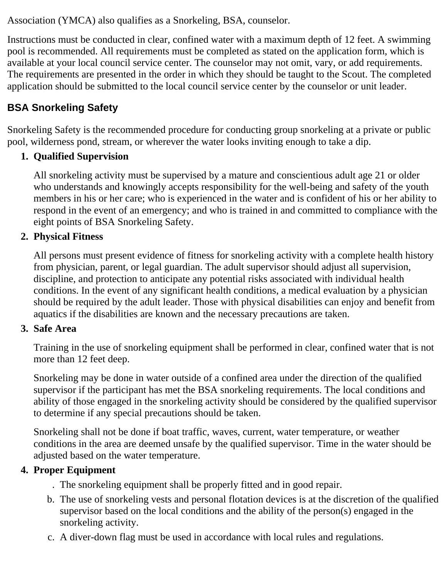Association (YMCA) also qualifies as a Snorkeling, BSA, counselor.

Instructions must be conducted in clear, confined water with a maximum depth of 12 feet. A swimming pool is recommended. All requirements must be completed as stated on the application form, which is available at your local council service center. The counselor may not omit, vary, or add requirements. The requirements are presented in the order in which they should be taught to the Scout. The completed application should be submitted to the local council service center by the counselor or unit leader.

#### **BSA Snorkeling Safety**

Snorkeling Safety is the recommended procedure for conducting group snorkeling at a private or public pool, wilderness pond, stream, or wherever the water looks inviting enough to take a dip.

#### **Qualified Supervision 1.**

All snorkeling activity must be supervised by a mature and conscientious adult age 21 or older who understands and knowingly accepts responsibility for the well-being and safety of the youth members in his or her care; who is experienced in the water and is confident of his or her ability to respond in the event of an emergency; and who is trained in and committed to compliance with the eight points of BSA Snorkeling Safety.

#### **Physical Fitness 2.**

All persons must present evidence of fitness for snorkeling activity with a complete health history from physician, parent, or legal guardian. The adult supervisor should adjust all supervision, discipline, and protection to anticipate any potential risks associated with individual health conditions. In the event of any significant health conditions, a medical evaluation by a physician should be required by the adult leader. Those with physical disabilities can enjoy and benefit from aquatics if the disabilities are known and the necessary precautions are taken.

#### **Safe Area 3.**

Training in the use of snorkeling equipment shall be performed in clear, confined water that is not more than 12 feet deep.

Snorkeling may be done in water outside of a confined area under the direction of the qualified supervisor if the participant has met the BSA snorkeling requirements. The local conditions and ability of those engaged in the snorkeling activity should be considered by the qualified supervisor to determine if any special precautions should be taken.

Snorkeling shall not be done if boat traffic, waves, current, water temperature, or weather conditions in the area are deemed unsafe by the qualified supervisor. Time in the water should be adjusted based on the water temperature.

#### **Proper Equipment 4.**

- The snorkeling equipment shall be properly fitted and in good repair..
- The use of snorkeling vests and personal flotation devices is at the discretion of the qualified b. supervisor based on the local conditions and the ability of the person(s) engaged in the snorkeling activity.
- c. A diver-down flag must be used in accordance with local rules and regulations.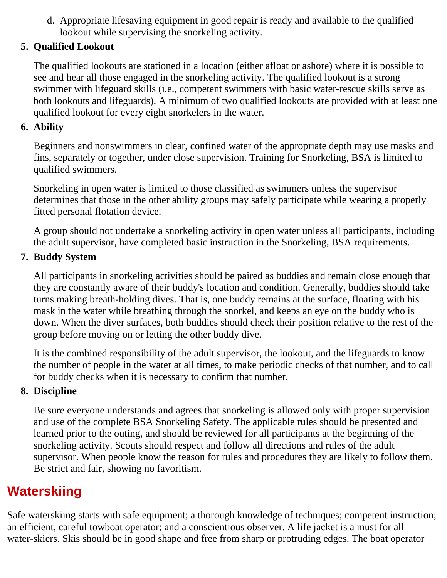d. Appropriate lifesaving equipment in good repair is ready and available to the qualified lookout while supervising the snorkeling activity.

#### **Qualified Lookout 5.**

The qualified lookouts are stationed in a location (either afloat or ashore) where it is possible to see and hear all those engaged in the snorkeling activity. The qualified lookout is a strong swimmer with lifeguard skills (i.e., competent swimmers with basic water-rescue skills serve as both lookouts and lifeguards). A minimum of two qualified lookouts are provided with at least one qualified lookout for every eight snorkelers in the water.

#### **Ability 6.**

Beginners and nonswimmers in clear, confined water of the appropriate depth may use masks and fins, separately or together, under close supervision. Training for Snorkeling, BSA is limited to qualified swimmers.

Snorkeling in open water is limited to those classified as swimmers unless the supervisor determines that those in the other ability groups may safely participate while wearing a properly fitted personal flotation device.

A group should not undertake a snorkeling activity in open water unless all participants, including the adult supervisor, have completed basic instruction in the Snorkeling, BSA requirements.

#### **Buddy System 7.**

All participants in snorkeling activities should be paired as buddies and remain close enough that they are constantly aware of their buddy's location and condition. Generally, buddies should take turns making breath-holding dives. That is, one buddy remains at the surface, floating with his mask in the water while breathing through the snorkel, and keeps an eye on the buddy who is down. When the diver surfaces, both buddies should check their position relative to the rest of the group before moving on or letting the other buddy dive.

It is the combined responsibility of the adult supervisor, the lookout, and the lifeguards to know the number of people in the water at all times, to make periodic checks of that number, and to call for buddy checks when it is necessary to confirm that number.

#### **Discipline 8.**

Be sure everyone understands and agrees that snorkeling is allowed only with proper supervision and use of the complete BSA Snorkeling Safety. The applicable rules should be presented and learned prior to the outing, and should be reviewed for all participants at the beginning of the snorkeling activity. Scouts should respect and follow all directions and rules of the adult supervisor. When people know the reason for rules and procedures they are likely to follow them. Be strict and fair, showing no favoritism.

### **Waterskiing**

Safe waterskiing starts with safe equipment; a thorough knowledge of techniques; competent instruction; an efficient, careful towboat operator; and a conscientious observer. A life jacket is a must for all water-skiers. Skis should be in good shape and free from sharp or protruding edges. The boat operator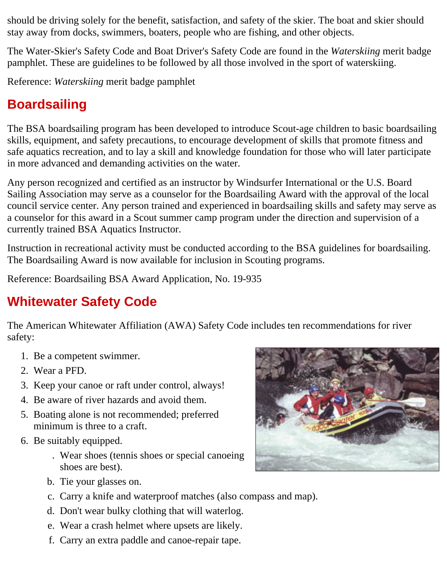should be driving solely for the benefit, satisfaction, and safety of the skier. The boat and skier should stay away from docks, swimmers, boaters, people who are fishing, and other objects.

The Water-Skier's Safety Code and Boat Driver's Safety Code are found in the *Waterskiing* merit badge pamphlet. These are guidelines to be followed by all those involved in the sport of waterskiing.

Reference: *Waterskiing* merit badge pamphlet

### **Boardsailing**

The BSA boardsailing program has been developed to introduce Scout-age children to basic boardsailing skills, equipment, and safety precautions, to encourage development of skills that promote fitness and safe aquatics recreation, and to lay a skill and knowledge foundation for those who will later participate in more advanced and demanding activities on the water.

Any person recognized and certified as an instructor by Windsurfer International or the U.S. Board Sailing Association may serve as a counselor for the Boardsailing Award with the approval of the local council service center. Any person trained and experienced in boardsailing skills and safety may serve as a counselor for this award in a Scout summer camp program under the direction and supervision of a currently trained BSA Aquatics Instructor.

Instruction in recreational activity must be conducted according to the BSA guidelines for boardsailing. The Boardsailing Award is now available for inclusion in Scouting programs.

Reference: Boardsailing BSA Award Application, No. 19-935

### **Whitewater Safety Code**

The American Whitewater Affiliation (AWA) Safety Code includes ten recommendations for river safety:

- 1. Be a competent swimmer.
- 2. Wear a PFD.
- 3. Keep your canoe or raft under control, always!
- 4. Be aware of river hazards and avoid them.
- 5. Boating alone is not recommended; preferred minimum is three to a craft.
- 6. Be suitably equipped.
	- Wear shoes (tennis shoes or special canoeing . shoes are best).
	- b. Tie your glasses on.
	- c. Carry a knife and waterproof matches (also compass and map).
	- d. Don't wear bulky clothing that will waterlog.
	- e. Wear a crash helmet where upsets are likely.
	- f. Carry an extra paddle and canoe-repair tape.

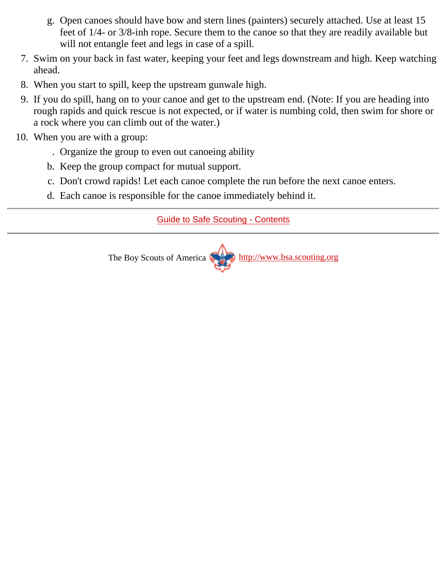- Open canoes should have bow and stern lines (painters) securely attached. Use at least 15 g. feet of 1/4- or 3/8-inh rope. Secure them to the canoe so that they are readily available but will not entangle feet and legs in case of a spill.
- 7. Swim on your back in fast water, keeping your feet and legs downstream and high. Keep watching ahead.
- 8. When you start to spill, keep the upstream gunwale high.
- 9. If you do spill, hang on to your canoe and get to the upstream end. (Note: If you are heading into rough rapids and quick rescue is not expected, or if water is numbing cold, then swim for shore or a rock where you can climb out of the water.)
- When you are with a group: 10.
	- . Organize the group to even out canoeing ability
	- b. Keep the group compact for mutual support.
	- c. Don't crowd rapids! Let each canoe complete the run before the next canoe enters.
	- d. Each canoe is responsible for the canoe immediately behind it.

#### [Guide to Safe Scouting - Contents](#page-0-0)

The Boy Scouts of America [http://www.bsa.scouting.org](http://www.bsa.scouting.org/)

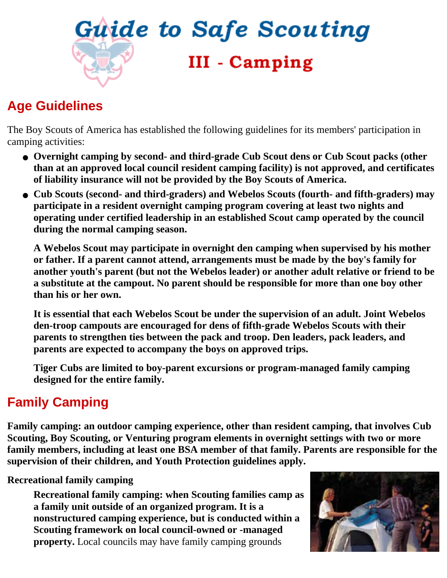<span id="page-21-0"></span>

### **Age Guidelines**

The Boy Scouts of America has established the following guidelines for its members' participation in camping activities:

- **Overnight camping by second- and third-grade Cub Scout dens or Cub Scout packs (other than at an approved local council resident camping facility) is not approved, and certificates of liability insurance will not be provided by the Boy Scouts of America.**
- **Cub Scouts (second- and third-graders) and Webelos Scouts (fourth- and fifth-graders) may participate in a resident overnight camping program covering at least two nights and operating under certified leadership in an established Scout camp operated by the council during the normal camping season.**

**A Webelos Scout may participate in overnight den camping when supervised by his mother or father. If a parent cannot attend, arrangements must be made by the boy's family for another youth's parent (but not the Webelos leader) or another adult relative or friend to be a substitute at the campout. No parent should be responsible for more than one boy other than his or her own.**

**It is essential that each Webelos Scout be under the supervision of an adult. Joint Webelos den-troop campouts are encouraged for dens of fifth-grade Webelos Scouts with their parents to strengthen ties between the pack and troop. Den leaders, pack leaders, and parents are expected to accompany the boys on approved trips.**

**Tiger Cubs are limited to boy-parent excursions or program-managed family camping designed for the entire family.**

### **Family Camping**

**Family camping: an outdoor camping experience, other than resident camping, that involves Cub Scouting, Boy Scouting, or Venturing program elements in overnight settings with two or more family members, including at least one BSA member of that family. Parents are responsible for the supervision of their children, and Youth Protection guidelines apply.**

#### **Recreational family camping**

**Recreational family camping: when Scouting families camp as a family unit outside of an organized program. It is a nonstructured camping experience, but is conducted within a Scouting framework on local council-owned or -managed property.** Local councils may have family camping grounds

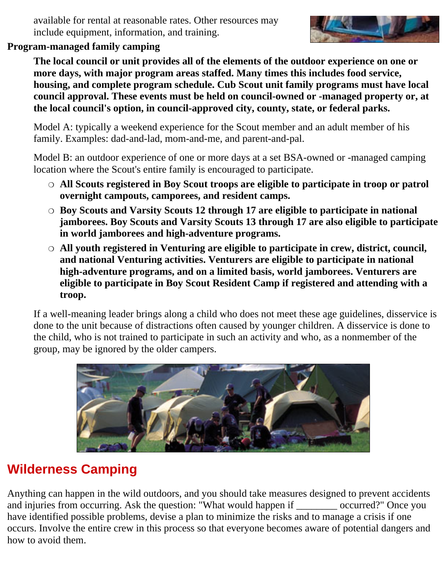available for rental at reasonable rates. Other resources may include equipment, information, and training.



#### **Program-managed family camping**

**The local council or unit provides all of the elements of the outdoor experience on one or more days, with major program areas staffed. Many times this includes food service, housing, and complete program schedule. Cub Scout unit family programs must have local council approval. These events must be held on council-owned or -managed property or, at the local council's option, in council-approved city, county, state, or federal parks.**

Model A: typically a weekend experience for the Scout member and an adult member of his family. Examples: dad-and-lad, mom-and-me, and parent-and-pal.

Model B: an outdoor experience of one or more days at a set BSA-owned or -managed camping location where the Scout's entire family is encouraged to participate.

- $\circ$  All Scouts registered in Boy Scout troops are eligible to participate in troop or patrol **overnight campouts, camporees, and resident camps.**
- **Boy Scouts and Varsity Scouts 12 through 17 are eligible to participate in national** ❍ **jamborees. Boy Scouts and Varsity Scouts 13 through 17 are also eligible to participate in world jamborees and high-adventure programs.**
- **All youth registered in Venturing are eligible to participate in crew, district, council,** ❍ **and national Venturing activities. Venturers are eligible to participate in national high-adventure programs, and on a limited basis, world jamborees. Venturers are eligible to participate in Boy Scout Resident Camp if registered and attending with a troop.**

If a well-meaning leader brings along a child who does not meet these age guidelines, disservice is done to the unit because of distractions often caused by younger children. A disservice is done to the child, who is not trained to participate in such an activity and who, as a nonmember of the group, may be ignored by the older campers.



### **Wilderness Camping**

Anything can happen in the wild outdoors, and you should take measures designed to prevent accidents and injuries from occurring. Ask the question: "What would happen if \_\_\_\_\_\_\_\_ occurred?" Once you have identified possible problems, devise a plan to minimize the risks and to manage a crisis if one occurs. Involve the entire crew in this process so that everyone becomes aware of potential dangers and how to avoid them.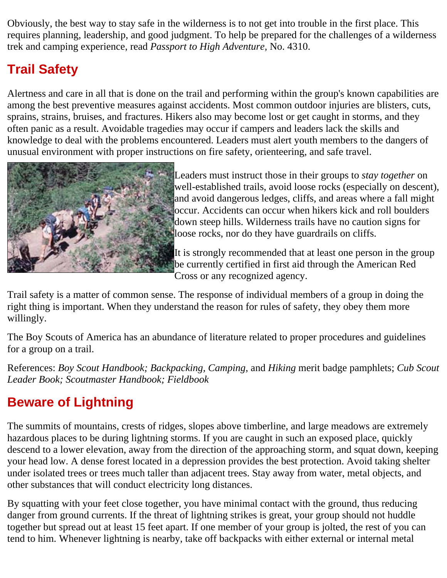Obviously, the best way to stay safe in the wilderness is to not get into trouble in the first place. This requires planning, leadership, and good judgment. To help be prepared for the challenges of a wilderness trek and camping experience, read *Passport to High Adventure,* No. 4310.

### **Trail Safety**

Alertness and care in all that is done on the trail and performing within the group's known capabilities are among the best preventive measures against accidents. Most common outdoor injuries are blisters, cuts, sprains, strains, bruises, and fractures. Hikers also may become lost or get caught in storms, and they often panic as a result. Avoidable tragedies may occur if campers and leaders lack the skills and knowledge to deal with the problems encountered. Leaders must alert youth members to the dangers of unusual environment with proper instructions on fire safety, orienteering, and safe travel.



Leaders must instruct those in their groups to *stay together* on well-established trails, avoid loose rocks (especially on descent), and avoid dangerous ledges, cliffs, and areas where a fall might occur. Accidents can occur when hikers kick and roll boulders down steep hills. Wilderness trails have no caution signs for loose rocks, nor do they have guardrails on cliffs.

It is strongly recommended that at least one person in the group be currently certified in first aid through the American Red Cross or any recognized agency.

Trail safety is a matter of common sense. The response of individual members of a group in doing the right thing is important. When they understand the reason for rules of safety, they obey them more willingly.

The Boy Scouts of America has an abundance of literature related to proper procedures and guidelines for a group on a trail.

References: *Boy Scout Handbook; Backpacking, Camping,* and *Hiking* merit badge pamphlets; *Cub Scout Leader Book; Scoutmaster Handbook; Fieldbook*

### **Beware of Lightning**

The summits of mountains, crests of ridges, slopes above timberline, and large meadows are extremely hazardous places to be during lightning storms. If you are caught in such an exposed place, quickly descend to a lower elevation, away from the direction of the approaching storm, and squat down, keeping your head low. A dense forest located in a depression provides the best protection. Avoid taking shelter under isolated trees or trees much taller than adjacent trees. Stay away from water, metal objects, and other substances that will conduct electricity long distances.

By squatting with your feet close together, you have minimal contact with the ground, thus reducing danger from ground currents. If the threat of lightning strikes is great, your group should not huddle together but spread out at least 15 feet apart. If one member of your group is jolted, the rest of you can tend to him. Whenever lightning is nearby, take off backpacks with either external or internal metal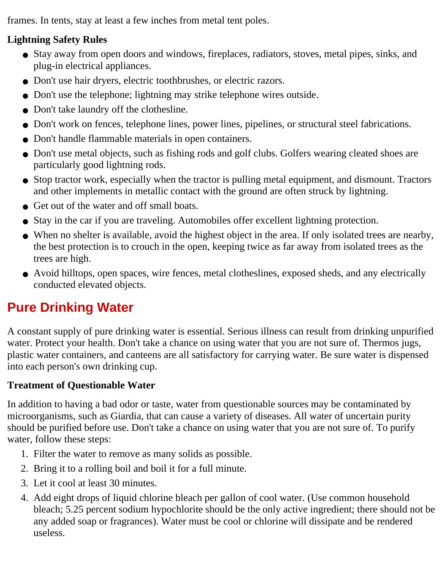frames. In tents, stay at least a few inches from metal tent poles.

#### **Lightning Safety Rules**

- Stay away from open doors and windows, fireplaces, radiators, stoves, metal pipes, sinks, and plug-in electrical appliances.
- Don't use hair dryers, electric toothbrushes, or electric razors.
- Don't use the telephone; lightning may strike telephone wires outside.
- Don't take laundry off the clothesline.
- Don't work on fences, telephone lines, power lines, pipelines, or structural steel fabrications.
- Don't handle flammable materials in open containers.
- Don't use metal objects, such as fishing rods and golf clubs. Golfers wearing cleated shoes are particularly good lightning rods.
- Stop tractor work, especially when the tractor is pulling metal equipment, and dismount. Tractors and other implements in metallic contact with the ground are often struck by lightning.
- Get out of the water and off small boats.
- Stay in the car if you are traveling. Automobiles offer excellent lightning protection.
- When no shelter is available, avoid the highest object in the area. If only isolated trees are nearby, the best protection is to crouch in the open, keeping twice as far away from isolated trees as the trees are high.
- Avoid hilltops, open spaces, wire fences, metal clotheslines, exposed sheds, and any electrically conducted elevated objects.

### **Pure Drinking Water**

A constant supply of pure drinking water is essential. Serious illness can result from drinking unpurified water. Protect your health. Don't take a chance on using water that you are not sure of. Thermos jugs, plastic water containers, and canteens are all satisfactory for carrying water. Be sure water is dispensed into each person's own drinking cup.

#### **Treatment of Questionable Water**

In addition to having a bad odor or taste, water from questionable sources may be contaminated by microorganisms, such as Giardia, that can cause a variety of diseases. All water of uncertain purity should be purified before use. Don't take a chance on using water that you are not sure of. To purify water, follow these steps:

- 1. Filter the water to remove as many solids as possible.
- 2. Bring it to a rolling boil and boil it for a full minute.
- 3. Let it cool at least 30 minutes.
- Add eight drops of liquid chlorine bleach per gallon of cool water. (Use common household 4. bleach; 5.25 percent sodium hypochlorite should be the only active ingredient; there should not be any added soap or fragrances). Water must be cool or chlorine will dissipate and be rendered useless.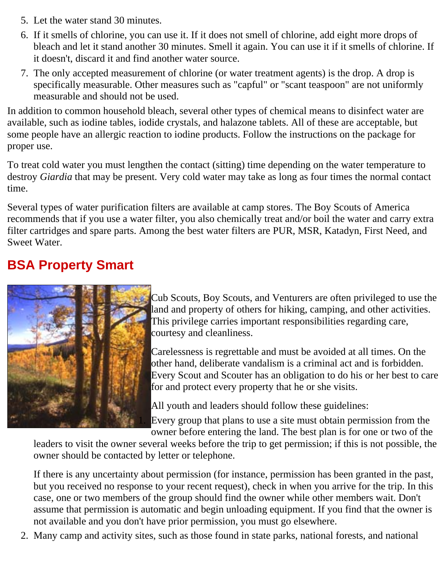- 5. Let the water stand 30 minutes.
- 6. If it smells of chlorine, you can use it. If it does not smell of chlorine, add eight more drops of bleach and let it stand another 30 minutes. Smell it again. You can use it if it smells of chlorine. If it doesn't, discard it and find another water source.
- 7. The only accepted measurement of chlorine (or water treatment agents) is the drop. A drop is specifically measurable. Other measures such as "capful" or "scant teaspoon" are not uniformly measurable and should not be used.

In addition to common household bleach, several other types of chemical means to disinfect water are available, such as iodine tables, iodide crystals, and halazone tablets. All of these are acceptable, but some people have an allergic reaction to iodine products. Follow the instructions on the package for proper use.

To treat cold water you must lengthen the contact (sitting) time depending on the water temperature to destroy *Giardia* that may be present. Very cold water may take as long as four times the normal contact time.

Several types of water purification filters are available at camp stores. The Boy Scouts of America recommends that if you use a water filter, you also chemically treat and/or boil the water and carry extra filter cartridges and spare parts. Among the best water filters are PUR, MSR, Katadyn, First Need, and Sweet Water.

### **BSA Property Smart**



Cub Scouts, Boy Scouts, and Venturers are often privileged to use the land and property of others for hiking, camping, and other activities. This privilege carries important responsibilities regarding care, courtesy and cleanliness.

Carelessness is regrettable and must be avoided at all times. On the other hand, deliberate vandalism is a criminal act and is forbidden. Every Scout and Scouter has an obligation to do his or her best to care for and protect every property that he or she visits.

All youth and leaders should follow these guidelines:

Every group that plans to use a site must obtain permission from the owner before entering the land. The best plan is for one or two of the

leaders to visit the owner several weeks before the trip to get permission; if this is not possible, the owner should be contacted by letter or telephone.

If there is any uncertainty about permission (for instance, permission has been granted in the past, but you received no response to your recent request), check in when you arrive for the trip. In this case, one or two members of the group should find the owner while other members wait. Don't assume that permission is automatic and begin unloading equipment. If you find that the owner is not available and you don't have prior permission, you must go elsewhere.

2. Many camp and activity sites, such as those found in state parks, national forests, and national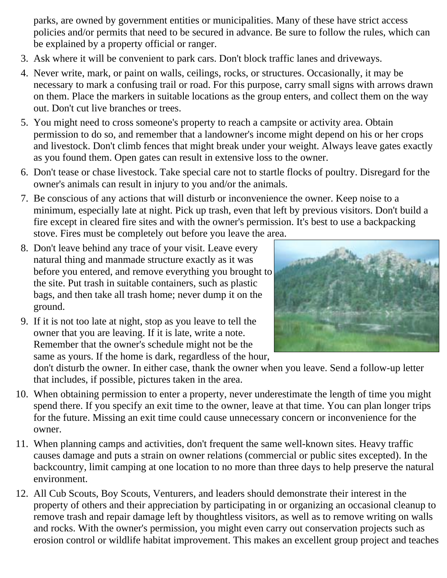parks, are owned by government entities or municipalities. Many of these have strict access policies and/or permits that need to be secured in advance. Be sure to follow the rules, which can be explained by a property official or ranger.

- 3. Ask where it will be convenient to park cars. Don't block traffic lanes and driveways.
- 4. Never write, mark, or paint on walls, ceilings, rocks, or structures. Occasionally, it may be necessary to mark a confusing trail or road. For this purpose, carry small signs with arrows drawn on them. Place the markers in suitable locations as the group enters, and collect them on the way out. Don't cut live branches or trees.
- 5. You might need to cross someone's property to reach a campsite or activity area. Obtain permission to do so, and remember that a landowner's income might depend on his or her crops and livestock. Don't climb fences that might break under your weight. Always leave gates exactly as you found them. Open gates can result in extensive loss to the owner.
- 6. Don't tease or chase livestock. Take special care not to startle flocks of poultry. Disregard for the owner's animals can result in injury to you and/or the animals.
- 7. Be conscious of any actions that will disturb or inconvenience the owner. Keep noise to a minimum, especially late at night. Pick up trash, even that left by previous visitors. Don't build a fire except in cleared fire sites and with the owner's permission. It's best to use a backpacking stove. Fires must be completely out before you leave the area.
- 8. Don't leave behind any trace of your visit. Leave every natural thing and manmade structure exactly as it was before you entered, and remove everything you brought to the site. Put trash in suitable containers, such as plastic bags, and then take all trash home; never dump it on the ground.
	-
- 9. If it is not too late at night, stop as you leave to tell the owner that you are leaving. If it is late, write a note. Remember that the owner's schedule might not be the same as yours. If the home is dark, regardless of the hour,

don't disturb the owner. In either case, thank the owner when you leave. Send a follow-up letter that includes, if possible, pictures taken in the area.

- When obtaining permission to enter a property, never underestimate the length of time you might 10. spend there. If you specify an exit time to the owner, leave at that time. You can plan longer trips for the future. Missing an exit time could cause unnecessary concern or inconvenience for the owner.
- When planning camps and activities, don't frequent the same well-known sites. Heavy traffic 11. causes damage and puts a strain on owner relations (commercial or public sites excepted). In the backcountry, limit camping at one location to no more than three days to help preserve the natural environment.
- All Cub Scouts, Boy Scouts, Venturers, and leaders should demonstrate their interest in the 12. property of others and their appreciation by participating in or organizing an occasional cleanup to remove trash and repair damage left by thoughtless visitors, as well as to remove writing on walls and rocks. With the owner's permission, you might even carry out conservation projects such as erosion control or wildlife habitat improvement. This makes an excellent group project and teaches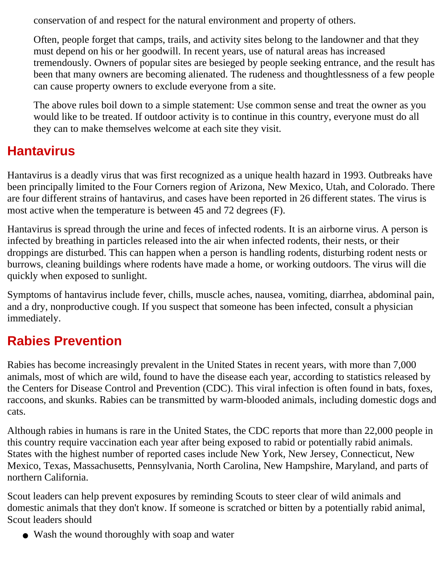conservation of and respect for the natural environment and property of others.

Often, people forget that camps, trails, and activity sites belong to the landowner and that they must depend on his or her goodwill. In recent years, use of natural areas has increased tremendously. Owners of popular sites are besieged by people seeking entrance, and the result has been that many owners are becoming alienated. The rudeness and thoughtlessness of a few people can cause property owners to exclude everyone from a site.

The above rules boil down to a simple statement: Use common sense and treat the owner as you would like to be treated. If outdoor activity is to continue in this country, everyone must do all they can to make themselves welcome at each site they visit.

### **Hantavirus**

Hantavirus is a deadly virus that was first recognized as a unique health hazard in 1993. Outbreaks have been principally limited to the Four Corners region of Arizona, New Mexico, Utah, and Colorado. There are four different strains of hantavirus, and cases have been reported in 26 different states. The virus is most active when the temperature is between 45 and 72 degrees (F).

Hantavirus is spread through the urine and feces of infected rodents. It is an airborne virus. A person is infected by breathing in particles released into the air when infected rodents, their nests, or their droppings are disturbed. This can happen when a person is handling rodents, disturbing rodent nests or burrows, cleaning buildings where rodents have made a home, or working outdoors. The virus will die quickly when exposed to sunlight.

Symptoms of hantavirus include fever, chills, muscle aches, nausea, vomiting, diarrhea, abdominal pain, and a dry, nonproductive cough. If you suspect that someone has been infected, consult a physician immediately.

### **Rabies Prevention**

Rabies has become increasingly prevalent in the United States in recent years, with more than 7,000 animals, most of which are wild, found to have the disease each year, according to statistics released by the Centers for Disease Control and Prevention (CDC). This viral infection is often found in bats, foxes, raccoons, and skunks. Rabies can be transmitted by warm-blooded animals, including domestic dogs and cats.

Although rabies in humans is rare in the United States, the CDC reports that more than 22,000 people in this country require vaccination each year after being exposed to rabid or potentially rabid animals. States with the highest number of reported cases include New York, New Jersey, Connecticut, New Mexico, Texas, Massachusetts, Pennsylvania, North Carolina, New Hampshire, Maryland, and parts of northern California.

Scout leaders can help prevent exposures by reminding Scouts to steer clear of wild animals and domestic animals that they don't know. If someone is scratched or bitten by a potentially rabid animal, Scout leaders should

• Wash the wound thoroughly with soap and water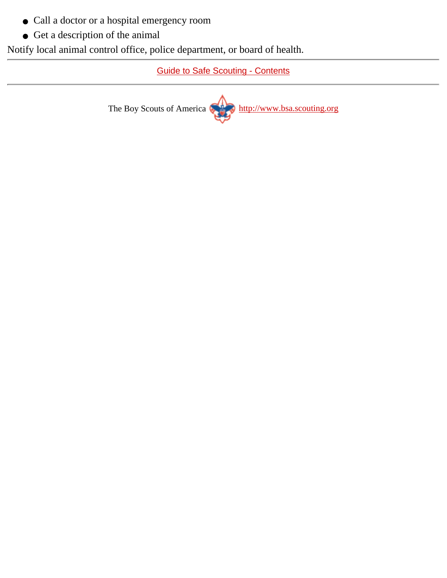- Call a doctor or a hospital emergency room
- Get a description of the animal

Notify local animal control office, police department, or board of health.

[Guide to Safe Scouting - Contents](#page-0-0)

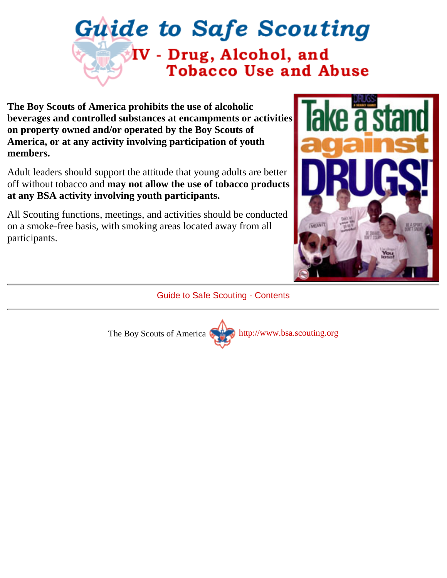# <span id="page-29-0"></span>**Guide to Safe Scouting** IV - Drug, Alcohol, and **Tobacco Use and Abuse**

**The Boy Scouts of America prohibits the use of alcoholic beverages and controlled substances at encampments or activities on property owned and/or operated by the Boy Scouts of America, or at any activity involving participation of youth members.**

Adult leaders should support the attitude that young adults are better off without tobacco and **may not allow the use of tobacco products at any BSA activity involving youth participants.**

All Scouting functions, meetings, and activities should be conducted on a smoke-free basis, with smoking areas located away from all participants.



[Guide to Safe Scouting - Contents](#page-0-0)

The Boy Scouts of America [http://www.bsa.scouting.org](http://www.bsa.scouting.org/)

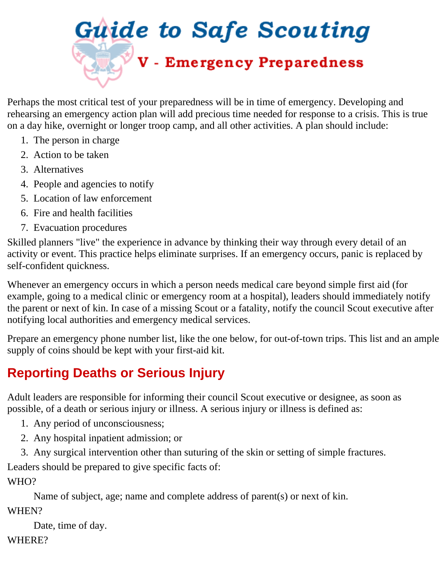<span id="page-30-0"></span>

Perhaps the most critical test of your preparedness will be in time of emergency. Developing and rehearsing an emergency action plan will add precious time needed for response to a crisis. This is true on a day hike, overnight or longer troop camp, and all other activities. A plan should include:

- 1. The person in charge
- 2. Action to be taken
- 3. Alternatives
- 4. People and agencies to notify
- 5. Location of law enforcement
- 6. Fire and health facilities
- 7. Evacuation procedures

Skilled planners "live" the experience in advance by thinking their way through every detail of an activity or event. This practice helps eliminate surprises. If an emergency occurs, panic is replaced by self-confident quickness.

Whenever an emergency occurs in which a person needs medical care beyond simple first aid (for example, going to a medical clinic or emergency room at a hospital), leaders should immediately notify the parent or next of kin. In case of a missing Scout or a fatality, notify the council Scout executive after notifying local authorities and emergency medical services.

Prepare an emergency phone number list, like the one below, for out-of-town trips. This list and an ample supply of coins should be kept with your first-aid kit.

### <span id="page-30-1"></span>**Reporting Deaths or Serious Injury**

Adult leaders are responsible for informing their council Scout executive or designee, as soon as possible, of a death or serious injury or illness. A serious injury or illness is defined as:

- 1. Any period of unconsciousness;
- 2. Any hospital inpatient admission; or
- 3. Any surgical intervention other than suturing of the skin or setting of simple fractures.

Leaders should be prepared to give specific facts of:

WHO?

Name of subject, age; name and complete address of parent(s) or next of kin. WHEN?

Date, time of day.

WHERE?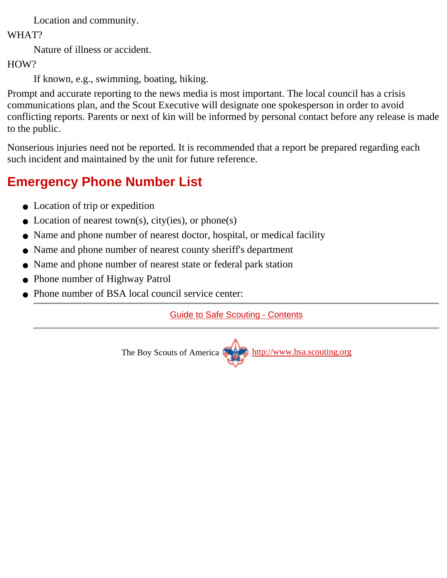Location and community.

WHAT?

Nature of illness or accident.

HOW?

If known, e.g., swimming, boating, hiking.

Prompt and accurate reporting to the news media is most important. The local council has a crisis communications plan, and the Scout Executive will designate one spokesperson in order to avoid conflicting reports. Parents or next of kin will be informed by personal contact before any release is made to the public.

Nonserious injuries need not be reported. It is recommended that a report be prepared regarding each such incident and maintained by the unit for future reference.

### <span id="page-31-0"></span>**Emergency Phone Number List**

- Location of trip or expedition
- Location of nearest town(s), city(ies), or phone(s)
- Name and phone number of nearest doctor, hospital, or medical facility
- Name and phone number of nearest county sheriff's department
- Name and phone number of nearest state or federal park station
- Phone number of Highway Patrol
- Phone number of BSA local council service center:

[Guide to Safe Scouting - Contents](#page-0-0)

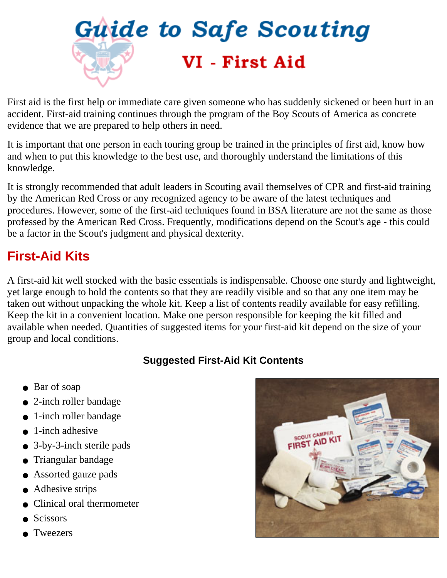<span id="page-32-0"></span>

First aid is the first help or immediate care given someone who has suddenly sickened or been hurt in an accident. First-aid training continues through the program of the Boy Scouts of America as concrete evidence that we are prepared to help others in need.

It is important that one person in each touring group be trained in the principles of first aid, know how and when to put this knowledge to the best use, and thoroughly understand the limitations of this knowledge.

It is strongly recommended that adult leaders in Scouting avail themselves of CPR and first-aid training by the American Red Cross or any recognized agency to be aware of the latest techniques and procedures. However, some of the first-aid techniques found in BSA literature are not the same as those professed by the American Red Cross. Frequently, modifications depend on the Scout's age - this could be a factor in the Scout's judgment and physical dexterity.

### <span id="page-32-1"></span>**First-Aid Kits**

A first-aid kit well stocked with the basic essentials is indispensable. Choose one sturdy and lightweight, yet large enough to hold the contents so that they are readily visible and so that any one item may be taken out without unpacking the whole kit. Keep a list of contents readily available for easy refilling. Keep the kit in a convenient location. Make one person responsible for keeping the kit filled and available when needed. Quantities of suggested items for your first-aid kit depend on the size of your group and local conditions.

#### **Suggested First-Aid Kit Contents**

- Bar of soap
- 2-inch roller bandage
- 1-inch roller bandage
- $\bullet$  1-inch adhesive
- 3-by-3-inch sterile pads
- Triangular bandage
- Assorted gauze pads
- Adhesive strips
- Clinical oral thermometer
- **Scissors**
- **Tweezers**

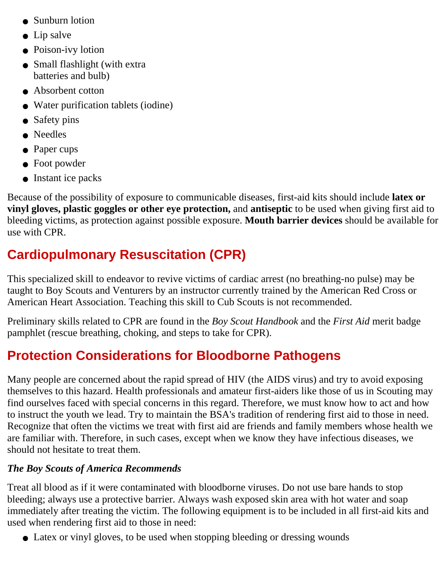- Sunburn lotion
- Lip salve
- Poison-ivy lotion
- Small flashlight (with extra batteries and bulb)
- Absorbent cotton
- Water purification tablets (iodine)
- Safety pins
- Needles
- Paper cups
- Foot powder
- Instant ice packs

Because of the possibility of exposure to communicable diseases, first-aid kits should include **latex or vinyl gloves, plastic goggles or other eye protection,** and **antiseptic** to be used when giving first aid to bleeding victims, as protection against possible exposure. **Mouth barrier devices** should be available for use with CPR.

### <span id="page-33-0"></span>**Cardiopulmonary Resuscitation (CPR)**

This specialized skill to endeavor to revive victims of cardiac arrest (no breathing-no pulse) may be taught to Boy Scouts and Venturers by an instructor currently trained by the American Red Cross or American Heart Association. Teaching this skill to Cub Scouts is not recommended.

Preliminary skills related to CPR are found in the *Boy Scout Handbook* and the *First Aid* merit badge pamphlet (rescue breathing, choking, and steps to take for CPR).

### <span id="page-33-1"></span>**Protection Considerations for Bloodborne Pathogens**

Many people are concerned about the rapid spread of HIV (the AIDS virus) and try to avoid exposing themselves to this hazard. Health professionals and amateur first-aiders like those of us in Scouting may find ourselves faced with special concerns in this regard. Therefore, we must know how to act and how to instruct the youth we lead. Try to maintain the BSA's tradition of rendering first aid to those in need. Recognize that often the victims we treat with first aid are friends and family members whose health we are familiar with. Therefore, in such cases, except when we know they have infectious diseases, we should not hesitate to treat them.

#### *The Boy Scouts of America Recommends*

Treat all blood as if it were contaminated with bloodborne viruses. Do not use bare hands to stop bleeding; always use a protective barrier. Always wash exposed skin area with hot water and soap immediately after treating the victim. The following equipment is to be included in all first-aid kits and used when rendering first aid to those in need:

• Latex or vinyl gloves, to be used when stopping bleeding or dressing wounds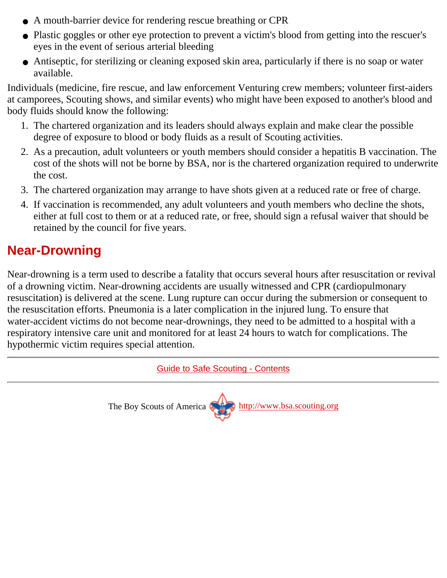- A mouth-barrier device for rendering rescue breathing or CPR
- Plastic goggles or other eye protection to prevent a victim's blood from getting into the rescuer's eyes in the event of serious arterial bleeding
- Antiseptic, for sterilizing or cleaning exposed skin area, particularly if there is no soap or water available.

Individuals (medicine, fire rescue, and law enforcement Venturing crew members; volunteer first-aiders at camporees, Scouting shows, and similar events) who might have been exposed to another's blood and body fluids should know the following:

- 1. The chartered organization and its leaders should always explain and make clear the possible degree of exposure to blood or body fluids as a result of Scouting activities.
- As a precaution, adult volunteers or youth members should consider a hepatitis B vaccination. The 2. cost of the shots will not be borne by BSA, nor is the chartered organization required to underwrite the cost.
- 3. The chartered organization may arrange to have shots given at a reduced rate or free of charge.
- 4. If vaccination is recommended, any adult volunteers and youth members who decline the shots, either at full cost to them or at a reduced rate, or free, should sign a refusal waiver that should be retained by the council for five years.

### <span id="page-34-0"></span>**Near-Drowning**

Near-drowning is a term used to describe a fatality that occurs several hours after resuscitation or revival of a drowning victim. Near-drowning accidents are usually witnessed and CPR (cardiopulmonary resuscitation) is delivered at the scene. Lung rupture can occur during the submersion or consequent to the resuscitation efforts. Pneumonia is a later complication in the injured lung. To ensure that water-accident victims do not become near-drownings, they need to be admitted to a hospital with a respiratory intensive care unit and monitored for at least 24 hours to watch for complications. The hypothermic victim requires special attention.

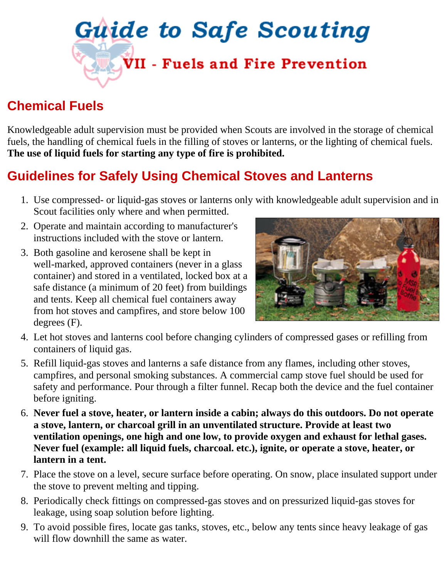<span id="page-35-0"></span>

### <span id="page-35-1"></span>**Chemical Fuels**

Knowledgeable adult supervision must be provided when Scouts are involved in the storage of chemical fuels, the handling of chemical fuels in the filling of stoves or lanterns, or the lighting of chemical fuels. **The use of liquid fuels for starting any type of fire is prohibited.**

### <span id="page-35-2"></span>**Guidelines for Safely Using Chemical Stoves and Lanterns**

- Use compressed- or liquid-gas stoves or lanterns only with knowledgeable adult supervision and in 1. Scout facilities only where and when permitted.
- 2. Operate and maintain according to manufacturer's instructions included with the stove or lantern.
- 3. Both gasoline and kerosene shall be kept in well-marked, approved containers (never in a glass container) and stored in a ventilated, locked box at a safe distance (a minimum of 20 feet) from buildings and tents. Keep all chemical fuel containers away from hot stoves and campfires, and store below 100 degrees (F).



- Let hot stoves and lanterns cool before changing cylinders of compressed gases or refilling from 4. containers of liquid gas.
- 5. Refill liquid-gas stoves and lanterns a safe distance from any flames, including other stoves, campfires, and personal smoking substances. A commercial camp stove fuel should be used for safety and performance. Pour through a filter funnel. Recap both the device and the fuel container before igniting.
- **Never fuel a stove, heater, or lantern inside a cabin; always do this outdoors. Do not operate** 6. **a stove, lantern, or charcoal grill in an unventilated structure. Provide at least two ventilation openings, one high and one low, to provide oxygen and exhaust for lethal gases. Never fuel (example: all liquid fuels, charcoal. etc.), ignite, or operate a stove, heater, or lantern in a tent.**
- Place the stove on a level, secure surface before operating. On snow, place insulated support under 7. the stove to prevent melting and tipping.
- 8. Periodically check fittings on compressed-gas stoves and on pressurized liquid-gas stoves for leakage, using soap solution before lighting.
- To avoid possible fires, locate gas tanks, stoves, etc., below any tents since heavy leakage of gas 9. will flow downhill the same as water.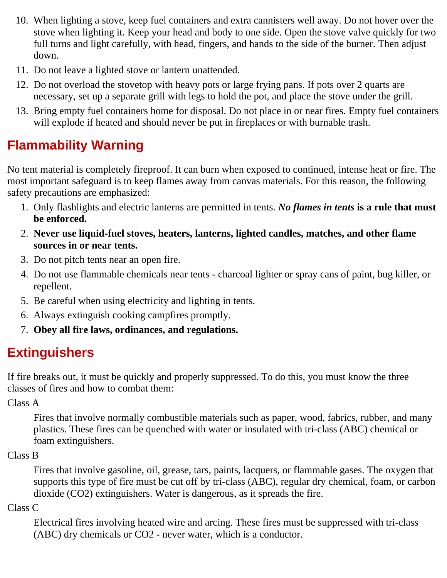- When lighting a stove, keep fuel containers and extra cannisters well away. Do not hover over the 10. stove when lighting it. Keep your head and body to one side. Open the stove valve quickly for two full turns and light carefully, with head, fingers, and hands to the side of the burner. Then adjust down.
- 11. Do not leave a lighted stove or lantern unattended.
- 12. Do not overload the stovetop with heavy pots or large frying pans. If pots over 2 quarts are necessary, set up a separate grill with legs to hold the pot, and place the stove under the grill.
- 13. Bring empty fuel containers home for disposal. Do not place in or near fires. Empty fuel containers will explode if heated and should never be put in fireplaces or with burnable trash.

### <span id="page-36-0"></span>**Flammability Warning**

No tent material is completely fireproof. It can burn when exposed to continued, intense heat or fire. The most important safeguard is to keep flames away from canvas materials. For this reason, the following safety precautions are emphasized:

- Only flashlights and electric lanterns are permitted in tents. *No flames in tents* **is a rule that must** 1. **be enforced.**
- **Never use liquid-fuel stoves, heaters, lanterns, lighted candles, matches, and other flame** 2. **sources in or near tents.**
- 3. Do not pitch tents near an open fire.
- Do not use flammable chemicals near tents charcoal lighter or spray cans of paint, bug killer, or 4. repellent.
- 5. Be careful when using electricity and lighting in tents.
- 6. Always extinguish cooking campfires promptly.
- 7. **Obey all fire laws, ordinances, and regulations.**

### <span id="page-36-1"></span>**Extinguishers**

If fire breaks out, it must be quickly and properly suppressed. To do this, you must know the three classes of fires and how to combat them:

Class A

Fires that involve normally combustible materials such as paper, wood, fabrics, rubber, and many plastics. These fires can be quenched with water or insulated with tri-class (ABC) chemical or foam extinguishers.

#### Class B

Fires that involve gasoline, oil, grease, tars, paints, lacquers, or flammable gases. The oxygen that supports this type of fire must be cut off by tri-class (ABC), regular dry chemical, foam, or carbon dioxide (CO2) extinguishers. Water is dangerous, as it spreads the fire.

#### Class C

Electrical fires involving heated wire and arcing. These fires must be suppressed with tri-class (ABC) dry chemicals or CO2 - never water, which is a conductor.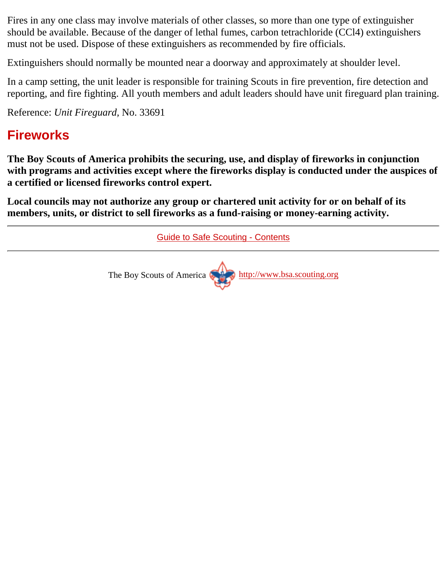Fires in any one class may involve materials of other classes, so more than one type of extinguisher should be available. Because of the danger of lethal fumes, carbon tetrachloride (CCl4) extinguishers must not be used. Dispose of these extinguishers as recommended by fire officials.

Extinguishers should normally be mounted near a doorway and approximately at shoulder level.

In a camp setting, the unit leader is responsible for training Scouts in fire prevention, fire detection and reporting, and fire fighting. All youth members and adult leaders should have unit fireguard plan training.

Reference: *Unit Fireguard,* No. 33691

### <span id="page-37-0"></span>**Fireworks**

**The Boy Scouts of America prohibits the securing, use, and display of fireworks in conjunction with programs and activities except where the fireworks display is conducted under the auspices of a certified or licensed fireworks control expert.**

**Local councils may not authorize any group or chartered unit activity for or on behalf of its members, units, or district to sell fireworks as a fund-raising or money-earning activity.**

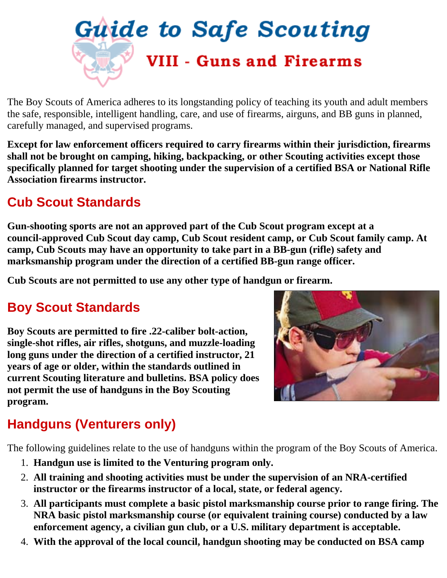<span id="page-38-0"></span>

The Boy Scouts of America adheres to its longstanding policy of teaching its youth and adult members the safe, responsible, intelligent handling, care, and use of firearms, airguns, and BB guns in planned, carefully managed, and supervised programs.

**Except for law enforcement officers required to carry firearms within their jurisdiction, firearms shall not be brought on camping, hiking, backpacking, or other Scouting activities except those specifically planned for target shooting under the supervision of a certified BSA or National Rifle Association firearms instructor.**

### <span id="page-38-1"></span>**Cub Scout Standards**

**Gun-shooting sports are not an approved part of the Cub Scout program except at a council-approved Cub Scout day camp, Cub Scout resident camp, or Cub Scout family camp. At camp, Cub Scouts may have an opportunity to take part in a BB-gun (rifle) safety and marksmanship program under the direction of a certified BB-gun range officer.**

**Cub Scouts are not permitted to use any other type of handgun or firearm.**

### <span id="page-38-2"></span>**Boy Scout Standards**

**Boy Scouts are permitted to fire .22-caliber bolt-action, single-shot rifles, air rifles, shotguns, and muzzle-loading long guns under the direction of a certified instructor, 21 years of age or older, within the standards outlined in current Scouting literature and bulletins. BSA policy does not permit the use of handguns in the Boy Scouting program.**



### <span id="page-38-3"></span>**Handguns (Venturers only)**

The following guidelines relate to the use of handguns within the program of the Boy Scouts of America.

- 1. **Handgun use is limited to the Venturing program only.**
- **All training and shooting activities must be under the supervision of an NRA-certified** 2. **instructor or the firearms instructor of a local, state, or federal agency.**
- **All participants must complete a basic pistol marksmanship course prior to range firing. The** 3. **NRA basic pistol marksmanship course (or equivalent training course) conducted by a law enforcement agency, a civilian gun club, or a U.S. military department is acceptable.**
- 4. **With the approval of the local council, handgun shooting may be conducted on BSA camp**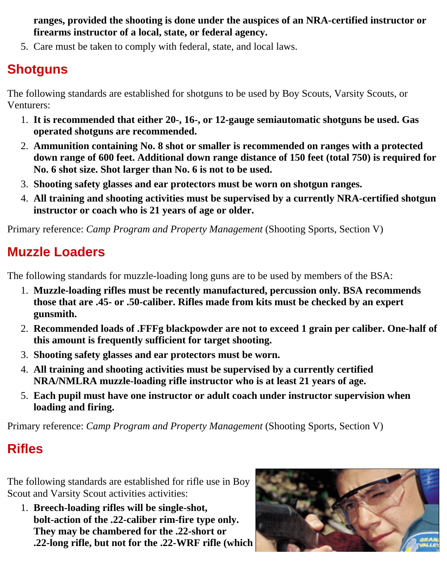**ranges, provided the shooting is done under the auspices of an NRA-certified instructor or firearms instructor of a local, state, or federal agency.**

5. Care must be taken to comply with federal, state, and local laws.

### <span id="page-39-0"></span>**Shotguns**

The following standards are established for shotguns to be used by Boy Scouts, Varsity Scouts, or Venturers:

- **It is recommended that either 20-, 16-, or 12-gauge semiautomatic shotguns be used. Gas** 1. **operated shotguns are recommended.**
- **Ammunition containing No. 8 shot or smaller is recommended on ranges with a protected** 2. **down range of 600 feet. Additional down range distance of 150 feet (total 750) is required for No. 6 shot size. Shot larger than No. 6 is not to be used.**
- 3. **Shooting safety glasses and ear protectors must be worn on shotgun ranges.**
- **All training and shooting activities must be supervised by a currently NRA-certified shotgun** 4. **instructor or coach who is 21 years of age or older.**

Primary reference: *Camp Program and Property Management* (Shooting Sports, Section V)

### <span id="page-39-1"></span>**Muzzle Loaders**

The following standards for muzzle-loading long guns are to be used by members of the BSA:

- **Muzzle-loading rifles must be recently manufactured, percussion only. BSA recommends** 1. **those that are .45- or .50-caliber. Rifles made from kits must be checked by an expert gunsmith.**
- **Recommended loads of .FFFg blackpowder are not to exceed 1 grain per caliber. One-half of** 2. **this amount is frequently sufficient for target shooting.**
- 3. **Shooting safety glasses and ear protectors must be worn.**
- **All training and shooting activities must be supervised by a currently certified** 4. **NRA/NMLRA muzzle-loading rifle instructor who is at least 21 years of age.**
- **Each pupil must have one instructor or adult coach under instructor supervision when** 5. **loading and firing.**

Primary reference: *Camp Program and Property Management* (Shooting Sports, Section V)

### <span id="page-39-2"></span>**Rifles**

The following standards are established for rifle use in Boy Scout and Varsity Scout activities activities:

**Breech-loading rifles will be single-shot,** 1. **bolt-action of the .22-caliber rim-fire type only. They may be chambered for the .22-short or .22-long rifle, but not for the .22-WRF rifle (which**

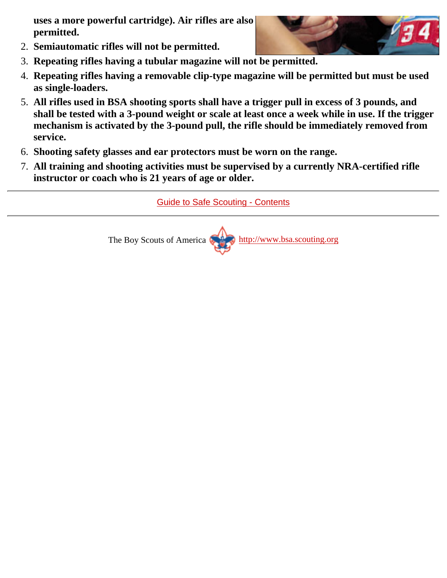**uses a more powerful cartridge). Air rifles are also permitted.**



- 2. **Semiautomatic rifles will not be permitted.**
- 3. **Repeating rifles having a tubular magazine will not be permitted.**
- **Repeating rifles having a removable clip-type magazine will be permitted but must be used** 4. **as single-loaders.**
- **All rifles used in BSA shooting sports shall have a trigger pull in excess of 3 pounds, and** 5. **shall be tested with a 3-pound weight or scale at least once a week while in use. If the trigger mechanism is activated by the 3-pound pull, the rifle should be immediately removed from service.**
- 6. **Shooting safety glasses and ear protectors must be worn on the range.**
- **All training and shooting activities must be supervised by a currently NRA-certified rifle** 7. **instructor or coach who is 21 years of age or older.**

[Guide to Safe Scouting - Contents](#page-0-0)

The Boy Scouts of America [http://www.bsa.scouting.org](http://www.bsa.scouting.org/)

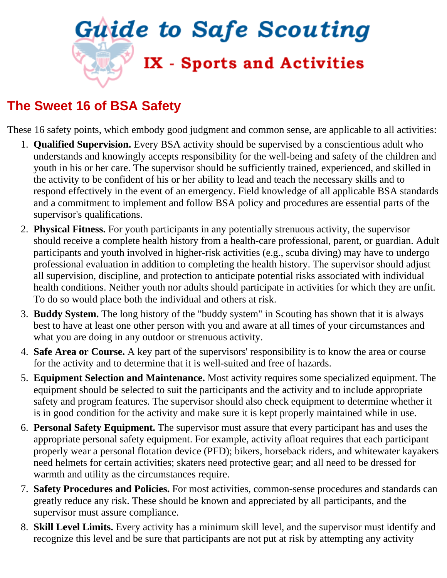<span id="page-41-0"></span>

### <span id="page-41-1"></span>**The Sweet 16 of BSA Safety**

These 16 safety points, which embody good judgment and common sense, are applicable to all activities:

- **Qualified Supervision.** Every BSA activity should be supervised by a conscientious adult who 1. understands and knowingly accepts responsibility for the well-being and safety of the children and youth in his or her care. The supervisor should be sufficiently trained, experienced, and skilled in the activity to be confident of his or her ability to lead and teach the necessary skills and to respond effectively in the event of an emergency. Field knowledge of all applicable BSA standards and a commitment to implement and follow BSA policy and procedures are essential parts of the supervisor's qualifications.
- **Physical Fitness.** For youth participants in any potentially strenuous activity, the supervisor 2. should receive a complete health history from a health-care professional, parent, or guardian. Adult participants and youth involved in higher-risk activities (e.g., scuba diving) may have to undergo professional evaluation in addition to completing the health history. The supervisor should adjust all supervision, discipline, and protection to anticipate potential risks associated with individual health conditions. Neither youth nor adults should participate in activities for which they are unfit. To do so would place both the individual and others at risk.
- **Buddy System.** The long history of the "buddy system" in Scouting has shown that it is always 3. best to have at least one other person with you and aware at all times of your circumstances and what you are doing in any outdoor or strenuous activity.
- **Safe Area or Course.** A key part of the supervisors' responsibility is to know the area or course 4. for the activity and to determine that it is well-suited and free of hazards.
- **Equipment Selection and Maintenance.** Most activity requires some specialized equipment. The 5. equipment should be selected to suit the participants and the activity and to include appropriate safety and program features. The supervisor should also check equipment to determine whether it is in good condition for the activity and make sure it is kept properly maintained while in use.
- **Personal Safety Equipment.** The supervisor must assure that every participant has and uses the 6. appropriate personal safety equipment. For example, activity afloat requires that each participant properly wear a personal flotation device (PFD); bikers, horseback riders, and whitewater kayakers need helmets for certain activities; skaters need protective gear; and all need to be dressed for warmth and utility as the circumstances require.
- **Safety Procedures and Policies.** For most activities, common-sense procedures and standards can 7. greatly reduce any risk. These should be known and appreciated by all participants, and the supervisor must assure compliance.
- **Skill Level Limits.** Every activity has a minimum skill level, and the supervisor must identify and 8. recognize this level and be sure that participants are not put at risk by attempting any activity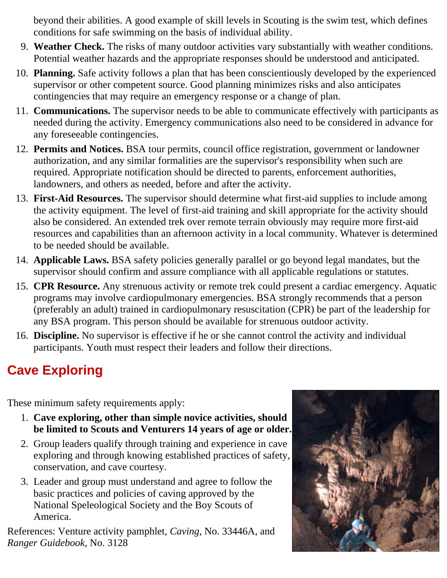beyond their abilities. A good example of skill levels in Scouting is the swim test, which defines conditions for safe swimming on the basis of individual ability.

- **Weather Check.** The risks of many outdoor activities vary substantially with weather conditions. 9. Potential weather hazards and the appropriate responses should be understood and anticipated.
- **Planning.** Safe activity follows a plan that has been conscientiously developed by the experienced 10. supervisor or other competent source. Good planning minimizes risks and also anticipates contingencies that may require an emergency response or a change of plan.
- **Communications.** The supervisor needs to be able to communicate effectively with participants as 11. needed during the activity. Emergency communications also need to be considered in advance for any foreseeable contingencies.
- **Permits and Notices.** BSA tour permits, council office registration, government or landowner 12. authorization, and any similar formalities are the supervisor's responsibility when such are required. Appropriate notification should be directed to parents, enforcement authorities, landowners, and others as needed, before and after the activity.
- **First-Aid Resources.** The supervisor should determine what first-aid supplies to include among 13. the activity equipment. The level of first-aid training and skill appropriate for the activity should also be considered. An extended trek over remote terrain obviously may require more first-aid resources and capabilities than an afternoon activity in a local community. Whatever is determined to be needed should be available.
- 14. Applicable Laws. BSA safety policies generally parallel or go beyond legal mandates, but the supervisor should confirm and assure compliance with all applicable regulations or statutes.
- 15. CPR Resource. Any strenuous activity or remote trek could present a cardiac emergency. Aquatic programs may involve cardiopulmonary emergencies. BSA strongly recommends that a person (preferably an adult) trained in cardiopulmonary resuscitation (CPR) be part of the leadership for any BSA program. This person should be available for strenuous outdoor activity.
- **Discipline.** No supervisor is effective if he or she cannot control the activity and individual 16. participants. Youth must respect their leaders and follow their directions.

### <span id="page-42-0"></span>**Cave Exploring**

These minimum safety requirements apply:

- **Cave exploring, other than simple novice activities, should** 1. **be limited to Scouts and Venturers 14 years of age or older.**
- 2. Group leaders qualify through training and experience in cave exploring and through knowing established practices of safety, conservation, and cave courtesy.
- Leader and group must understand and agree to follow the 3. basic practices and policies of caving approved by the National Speleological Society and the Boy Scouts of America.

References: Venture activity pamphlet, *Caving,* No. 33446A, and *Ranger Guidebook,* No. 3128

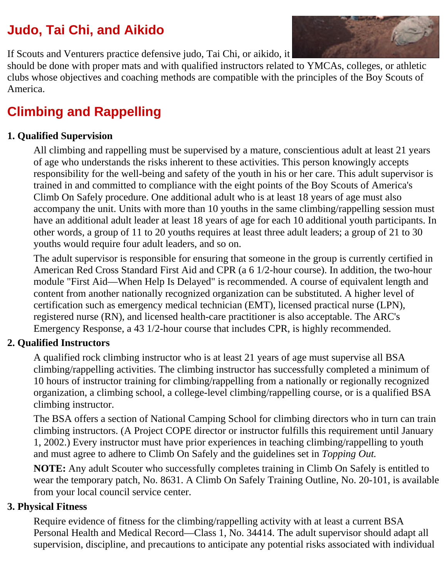### <span id="page-43-0"></span>**Judo, Tai Chi, and Aikido**

If Scouts and Venturers practice defensive judo, Tai Chi, or aikido, it

should be done with proper mats and with qualified instructors related to YMCAs, colleges, or athletic clubs whose objectives and coaching methods are compatible with the principles of the Boy Scouts of America.

### <span id="page-43-1"></span>**Climbing and Rappelling**

#### **1. Qualified Supervision**

All climbing and rappelling must be supervised by a mature, conscientious adult at least 21 years of age who understands the risks inherent to these activities. This person knowingly accepts responsibility for the well-being and safety of the youth in his or her care. This adult supervisor is trained in and committed to compliance with the eight points of the Boy Scouts of America's Climb On Safely procedure. One additional adult who is at least 18 years of age must also accompany the unit. Units with more than 10 youths in the same climbing/rappelling session must have an additional adult leader at least 18 years of age for each 10 additional youth participants. In other words, a group of 11 to 20 youths requires at least three adult leaders; a group of 21 to 30 youths would require four adult leaders, and so on.

The adult supervisor is responsible for ensuring that someone in the group is currently certified in American Red Cross Standard First Aid and CPR (a 6 1/2-hour course). In addition, the two-hour module "First Aid—When Help Is Delayed" is recommended. A course of equivalent length and content from another nationally recognized organization can be substituted. A higher level of certification such as emergency medical technician (EMT), licensed practical nurse (LPN), registered nurse (RN), and licensed health-care practitioner is also acceptable. The ARC's Emergency Response, a 43 1/2-hour course that includes CPR, is highly recommended.

#### **2. Qualified Instructors**

A qualified rock climbing instructor who is at least 21 years of age must supervise all BSA climbing/rappelling activities. The climbing instructor has successfully completed a minimum of 10 hours of instructor training for climbing/rappelling from a nationally or regionally recognized organization, a climbing school, a college-level climbing/rappelling course, or is a qualified BSA climbing instructor.

The BSA offers a section of National Camping School for climbing directors who in turn can train climbing instructors. (A Project COPE director or instructor fulfills this requirement until January 1, 2002.) Every instructor must have prior experiences in teaching climbing/rappelling to youth and must agree to adhere to Climb On Safely and the guidelines set in *Topping Out.*

**NOTE:** Any adult Scouter who successfully completes training in Climb On Safely is entitled to wear the temporary patch, No. 8631. A Climb On Safely Training Outline, No. 20-101, is available from your local council service center.

#### **3. Physical Fitness**

Require evidence of fitness for the climbing/rappelling activity with at least a current BSA Personal Health and Medical Record—Class 1, No. 34414. The adult supervisor should adapt all supervision, discipline, and precautions to anticipate any potential risks associated with individual

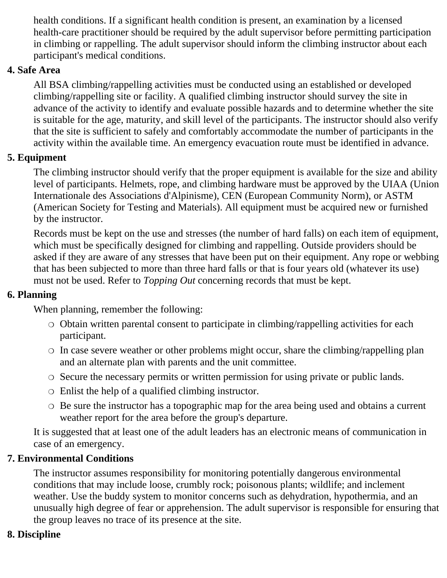health conditions. If a significant health condition is present, an examination by a licensed health-care practitioner should be required by the adult supervisor before permitting participation in climbing or rappelling. The adult supervisor should inform the climbing instructor about each participant's medical conditions.

#### **4. Safe Area**

All BSA climbing/rappelling activities must be conducted using an established or developed climbing/rappelling site or facility. A qualified climbing instructor should survey the site in advance of the activity to identify and evaluate possible hazards and to determine whether the site is suitable for the age, maturity, and skill level of the participants. The instructor should also verify that the site is sufficient to safely and comfortably accommodate the number of participants in the activity within the available time. An emergency evacuation route must be identified in advance.

#### **5. Equipment**

The climbing instructor should verify that the proper equipment is available for the size and ability level of participants. Helmets, rope, and climbing hardware must be approved by the UIAA (Union Internationale des Associations d'Alpinisme), CEN (European Community Norm), or ASTM (American Society for Testing and Materials). All equipment must be acquired new or furnished by the instructor.

Records must be kept on the use and stresses (the number of hard falls) on each item of equipment, which must be specifically designed for climbing and rappelling. Outside providers should be asked if they are aware of any stresses that have been put on their equipment. Any rope or webbing that has been subjected to more than three hard falls or that is four years old (whatever its use) must not be used. Refer to *Topping Out* concerning records that must be kept.

#### **6. Planning**

When planning, remember the following:

- ◯ Obtain written parental consent to participate in climbing/rappelling activities for each participant.
- $\circ$  In case severe weather or other problems might occur, share the climbing/rappelling plan and an alternate plan with parents and the unit committee.
- ❍ Secure the necessary permits or written permission for using private or public lands.
- ❍ Enlist the help of a qualified climbing instructor.
- ◯ Be sure the instructor has a topographic map for the area being used and obtains a current weather report for the area before the group's departure.

It is suggested that at least one of the adult leaders has an electronic means of communication in case of an emergency.

#### **7. Environmental Conditions**

The instructor assumes responsibility for monitoring potentially dangerous environmental conditions that may include loose, crumbly rock; poisonous plants; wildlife; and inclement weather. Use the buddy system to monitor concerns such as dehydration, hypothermia, and an unusually high degree of fear or apprehension. The adult supervisor is responsible for ensuring that the group leaves no trace of its presence at the site.

#### **8. Discipline**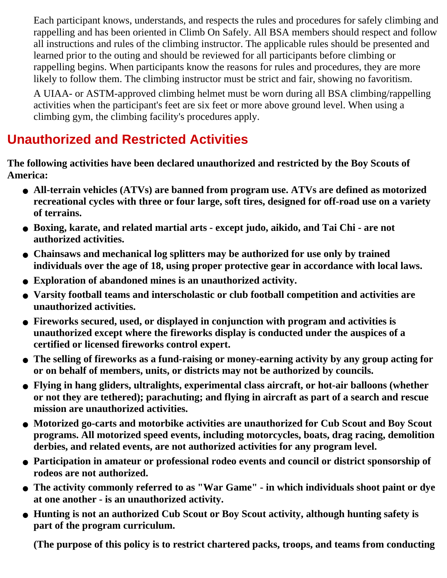Each participant knows, understands, and respects the rules and procedures for safely climbing and rappelling and has been oriented in Climb On Safely. All BSA members should respect and follow all instructions and rules of the climbing instructor. The applicable rules should be presented and learned prior to the outing and should be reviewed for all participants before climbing or rappelling begins. When participants know the reasons for rules and procedures, they are more likely to follow them. The climbing instructor must be strict and fair, showing no favoritism.

A UIAA- or ASTM-approved climbing helmet must be worn during all BSA climbing/rappelling activities when the participant's feet are six feet or more above ground level. When using a climbing gym, the climbing facility's procedures apply.

### <span id="page-45-0"></span>**Unauthorized and Restricted Activities**

**The following activities have been declared unauthorized and restricted by the Boy Scouts of America:**

- **All-terrain vehicles (ATVs) are banned from program use. ATVs are defined as motorized recreational cycles with three or four large, soft tires, designed for off-road use on a variety of terrains.**
- **Boxing, karate, and related martial arts except judo, aikido, and Tai Chi are not authorized activities.**
- **Chainsaws and mechanical log splitters may be authorized for use only by trained individuals over the age of 18, using proper protective gear in accordance with local laws.**
- **Exploration of abandoned mines is an unauthorized activity.**
- **Varsity football teams and interscholastic or club football competition and activities are unauthorized activities.**
- **Fireworks secured, used, or displayed in conjunction with program and activities is unauthorized except where the fireworks display is conducted under the auspices of a certified or licensed fireworks control expert.**
- **The selling of fireworks as a fund-raising or money-earning activity by any group acting for or on behalf of members, units, or districts may not be authorized by councils.**
- **Flying in hang gliders, ultralights, experimental class aircraft, or hot-air balloons (whether or not they are tethered); parachuting; and flying in aircraft as part of a search and rescue mission are unauthorized activities.**
- **Motorized go-carts and motorbike activities are unauthorized for Cub Scout and Boy Scout programs. All motorized speed events, including motorcycles, boats, drag racing, demolition derbies, and related events, are not authorized activities for any program level.**
- **Participation in amateur or professional rodeo events and council or district sponsorship of rodeos are not authorized.**
- **The activity commonly referred to as "War Game" in which individuals shoot paint or dye at one another - is an unauthorized activity.**
- **Hunting is not an authorized Cub Scout or Boy Scout activity, although hunting safety is part of the program curriculum.**

**(The purpose of this policy is to restrict chartered packs, troops, and teams from conducting**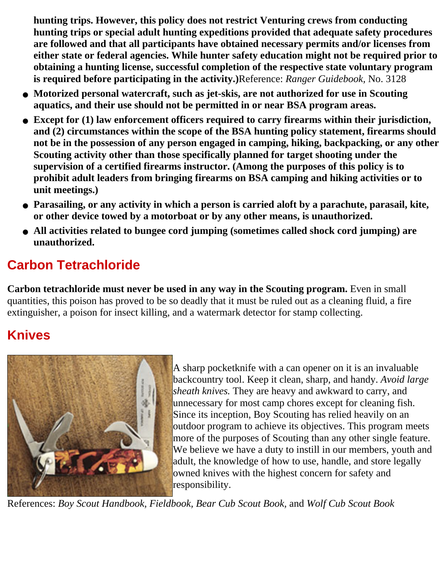**hunting trips. However, this policy does not restrict Venturing crews from conducting hunting trips or special adult hunting expeditions provided that adequate safety procedures are followed and that all participants have obtained necessary permits and/or licenses from either state or federal agencies. While hunter safety education might not be required prior to obtaining a hunting license, successful completion of the respective state voluntary program is required before participating in the activity.)**Reference: *Ranger Guidebook,* No. 3128

- **Motorized personal watercraft, such as jet-skis, are not authorized for use in Scouting aquatics, and their use should not be permitted in or near BSA program areas.**
- **Except for (1) law enforcement officers required to carry firearms within their jurisdiction, and (2) circumstances within the scope of the BSA hunting policy statement, firearms should not be in the possession of any person engaged in camping, hiking, backpacking, or any other Scouting activity other than those specifically planned for target shooting under the supervision of a certified firearms instructor. (Among the purposes of this policy is to prohibit adult leaders from bringing firearms on BSA camping and hiking activities or to unit meetings.)**
- **Parasailing, or any activity in which a person is carried aloft by a parachute, parasail, kite, or other device towed by a motorboat or by any other means, is unauthorized.**
- **All activities related to bungee cord jumping (sometimes called shock cord jumping) are unauthorized.**

### <span id="page-46-0"></span>**Carbon Tetrachloride**

**Carbon tetrachloride must never be used in any way in the Scouting program.** Even in small quantities, this poison has proved to be so deadly that it must be ruled out as a cleaning fluid, a fire extinguisher, a poison for insect killing, and a watermark detector for stamp collecting.

### <span id="page-46-1"></span>**Knives**



A sharp pocketknife with a can opener on it is an invaluable backcountry tool. Keep it clean, sharp, and handy. *Avoid large sheath knives.* They are heavy and awkward to carry, and unnecessary for most camp chores except for cleaning fish. Since its inception, Boy Scouting has relied heavily on an outdoor program to achieve its objectives. This program meets more of the purposes of Scouting than any other single feature. We believe we have a duty to instill in our members, youth and adult, the knowledge of how to use, handle, and store legally owned knives with the highest concern for safety and responsibility.

References: *Boy Scout Handbook, Fieldbook, Bear Cub Scout Book,* and *Wolf Cub Scout Book*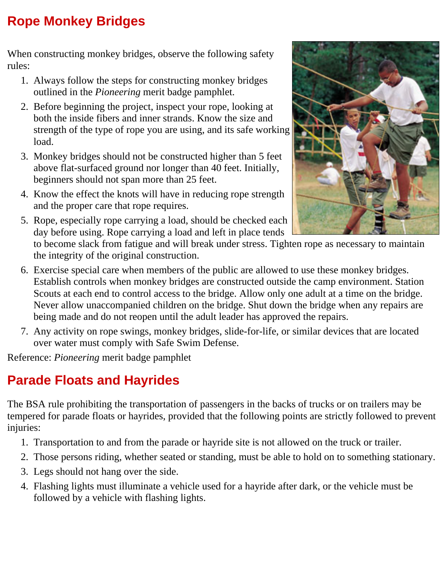### <span id="page-47-0"></span>**Rope Monkey Bridges**

When constructing monkey bridges, observe the following safety rules:

- Always follow the steps for constructing monkey bridges 1. outlined in the *Pioneering* merit badge pamphlet.
- 2. Before beginning the project, inspect your rope, looking at both the inside fibers and inner strands. Know the size and strength of the type of rope you are using, and its safe working load.
- 3. Monkey bridges should not be constructed higher than 5 feet above flat-surfaced ground nor longer than 40 feet. Initially, beginners should not span more than 25 feet.
- 4. Know the effect the knots will have in reducing rope strength and the proper care that rope requires.
- 5. Rope, especially rope carrying a load, should be checked each day before using. Rope carrying a load and left in place tends



to become slack from fatigue and will break under stress. Tighten rope as necessary to maintain the integrity of the original construction.

- Exercise special care when members of the public are allowed to use these monkey bridges. 6. Establish controls when monkey bridges are constructed outside the camp environment. Station Scouts at each end to control access to the bridge. Allow only one adult at a time on the bridge. Never allow unaccompanied children on the bridge. Shut down the bridge when any repairs are being made and do not reopen until the adult leader has approved the repairs.
- Any activity on rope swings, monkey bridges, slide-for-life, or similar devices that are located 7. over water must comply with Safe Swim Defense.

Reference: *Pioneering* merit badge pamphlet

### <span id="page-47-1"></span>**Parade Floats and Hayrides**

The BSA rule prohibiting the transportation of passengers in the backs of trucks or on trailers may be tempered for parade floats or hayrides, provided that the following points are strictly followed to prevent injuries:

- 1. Transportation to and from the parade or hayride site is not allowed on the truck or trailer.
- 2. Those persons riding, whether seated or standing, must be able to hold on to something stationary.
- 3. Legs should not hang over the side.
- Flashing lights must illuminate a vehicle used for a hayride after dark, or the vehicle must be 4. followed by a vehicle with flashing lights.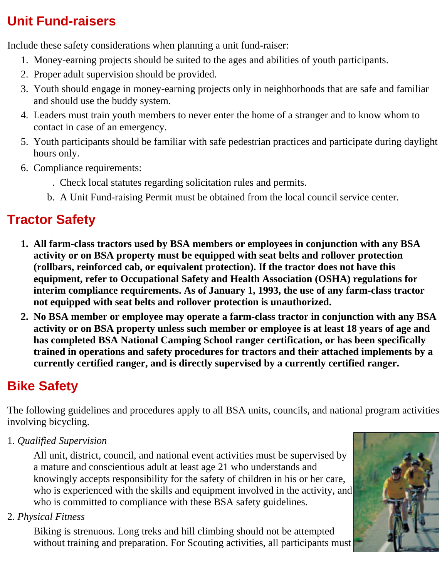### <span id="page-48-0"></span>**Unit Fund-raisers**

Include these safety considerations when planning a unit fund-raiser:

- 1. Money-earning projects should be suited to the ages and abilities of youth participants.
- 2. Proper adult supervision should be provided.
- 3. Youth should engage in money-earning projects only in neighborhoods that are safe and familiar and should use the buddy system.
- Leaders must train youth members to never enter the home of a stranger and to know whom to 4. contact in case of an emergency.
- 5. Youth participants should be familiar with safe pedestrian practices and participate during daylight hours only.
- Compliance requirements: 6.
	- Check local statutes regarding solicitation rules and permits..
	- b. A Unit Fund-raising Permit must be obtained from the local council service center.

### <span id="page-48-1"></span>**Tractor Safety**

- **All farm-class tractors used by BSA members or employees in conjunction with any BSA 1. activity or on BSA property must be equipped with seat belts and rollover protection (rollbars, reinforced cab, or equivalent protection). If the tractor does not have this equipment, refer to Occupational Safety and Health Association (OSHA) regulations for interim compliance requirements. As of January 1, 1993, the use of any farm-class tractor not equipped with seat belts and rollover protection is unauthorized.**
- **No BSA member or employee may operate a farm-class tractor in conjunction with any BSA 2. activity or on BSA property unless such member or employee is at least 18 years of age and has completed BSA National Camping School ranger certification, or has been specifically trained in operations and safety procedures for tractors and their attached implements by a currently certified ranger, and is directly supervised by a currently certified ranger.**

### <span id="page-48-2"></span>**Bike Safety**

The following guidelines and procedures apply to all BSA units, councils, and national program activities involving bicycling.

1. *Qualified Supervision*

All unit, district, council, and national event activities must be supervised by a mature and conscientious adult at least age 21 who understands and knowingly accepts responsibility for the safety of children in his or her care, who is experienced with the skills and equipment involved in the activity, and who is committed to compliance with these BSA safety guidelines.

2. *Physical Fitness*

Biking is strenuous. Long treks and hill climbing should not be attempted without training and preparation. For Scouting activities, all participants must

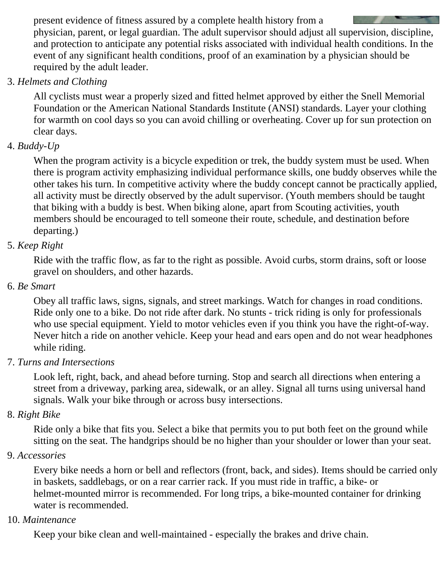present evidence of fitness assured by a complete health history from a physician, parent, or legal guardian. The adult supervisor should adjust all supervision, discipline, and protection to anticipate any potential risks associated with individual health conditions. In the event of any significant health conditions, proof of an examination by a physician should be required by the adult leader.

#### 3. *Helmets and Clothing*

All cyclists must wear a properly sized and fitted helmet approved by either the Snell Memorial Foundation or the American National Standards Institute (ANSI) standards. Layer your clothing for warmth on cool days so you can avoid chilling or overheating. Cover up for sun protection on clear days.

#### 4. *Buddy-Up*

When the program activity is a bicycle expedition or trek, the buddy system must be used. When there is program activity emphasizing individual performance skills, one buddy observes while the other takes his turn. In competitive activity where the buddy concept cannot be practically applied, all activity must be directly observed by the adult supervisor. (Youth members should be taught that biking with a buddy is best. When biking alone, apart from Scouting activities, youth members should be encouraged to tell someone their route, schedule, and destination before departing.)

#### 5. *Keep Right*

Ride with the traffic flow, as far to the right as possible. Avoid curbs, storm drains, soft or loose gravel on shoulders, and other hazards.

#### 6. *Be Smart*

Obey all traffic laws, signs, signals, and street markings. Watch for changes in road conditions. Ride only one to a bike. Do not ride after dark. No stunts - trick riding is only for professionals who use special equipment. Yield to motor vehicles even if you think you have the right-of-way. Never hitch a ride on another vehicle. Keep your head and ears open and do not wear headphones while riding.

#### 7. *Turns and Intersections*

Look left, right, back, and ahead before turning. Stop and search all directions when entering a street from a driveway, parking area, sidewalk, or an alley. Signal all turns using universal hand signals. Walk your bike through or across busy intersections.

#### 8. *Right Bike*

Ride only a bike that fits you. Select a bike that permits you to put both feet on the ground while sitting on the seat. The handgrips should be no higher than your shoulder or lower than your seat.

#### 9. *Accessories*

Every bike needs a horn or bell and reflectors (front, back, and sides). Items should be carried only in baskets, saddlebags, or on a rear carrier rack. If you must ride in traffic, a bike- or helmet-mounted mirror is recommended. For long trips, a bike-mounted container for drinking water is recommended.

#### 10. *Maintenance*

Keep your bike clean and well-maintained - especially the brakes and drive chain.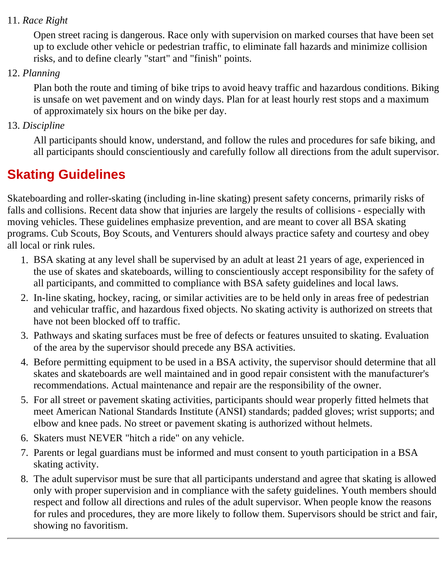#### 11. *Race Right*

Open street racing is dangerous. Race only with supervision on marked courses that have been set up to exclude other vehicle or pedestrian traffic, to eliminate fall hazards and minimize collision risks, and to define clearly "start" and "finish" points.

#### 12. *Planning*

Plan both the route and timing of bike trips to avoid heavy traffic and hazardous conditions. Biking is unsafe on wet pavement and on windy days. Plan for at least hourly rest stops and a maximum of approximately six hours on the bike per day.

#### 13. *Discipline*

All participants should know, understand, and follow the rules and procedures for safe biking, and all participants should conscientiously and carefully follow all directions from the adult supervisor.

### <span id="page-50-0"></span>**Skating Guidelines**

Skateboarding and roller-skating (including in-line skating) present safety concerns, primarily risks of falls and collisions. Recent data show that injuries are largely the results of collisions - especially with moving vehicles. These guidelines emphasize prevention, and are meant to cover all BSA skating programs. Cub Scouts, Boy Scouts, and Venturers should always practice safety and courtesy and obey all local or rink rules.

- BSA skating at any level shall be supervised by an adult at least 21 years of age, experienced in 1. the use of skates and skateboards, willing to conscientiously accept responsibility for the safety of all participants, and committed to compliance with BSA safety guidelines and local laws.
- 2. In-line skating, hockey, racing, or similar activities are to be held only in areas free of pedestrian and vehicular traffic, and hazardous fixed objects. No skating activity is authorized on streets that have not been blocked off to traffic.
- Pathways and skating surfaces must be free of defects or features unsuited to skating. Evaluation 3. of the area by the supervisor should precede any BSA activities.
- 4. Before permitting equipment to be used in a BSA activity, the supervisor should determine that all skates and skateboards are well maintained and in good repair consistent with the manufacturer's recommendations. Actual maintenance and repair are the responsibility of the owner.
- For all street or pavement skating activities, participants should wear properly fitted helmets that 5. meet American National Standards Institute (ANSI) standards; padded gloves; wrist supports; and elbow and knee pads. No street or pavement skating is authorized without helmets.
- 6. Skaters must NEVER "hitch a ride" on any vehicle.
- 7. Parents or legal guardians must be informed and must consent to youth participation in a BSA skating activity.
- The adult supervisor must be sure that all participants understand and agree that skating is allowed 8. only with proper supervision and in compliance with the safety guidelines. Youth members should respect and follow all directions and rules of the adult supervisor. When people know the reasons for rules and procedures, they are more likely to follow them. Supervisors should be strict and fair, showing no favoritism.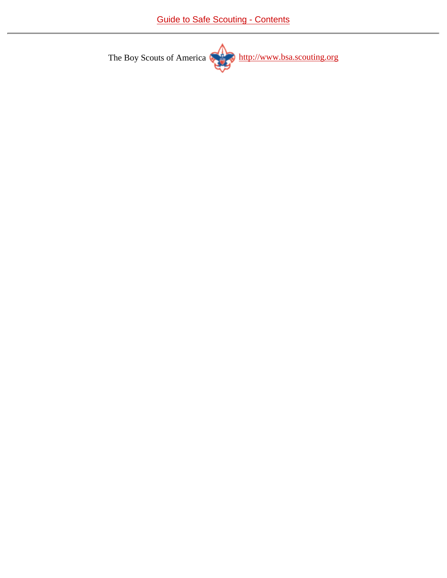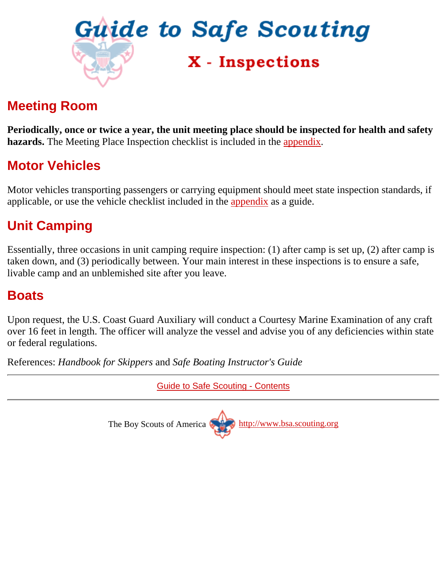<span id="page-52-0"></span>

### **Meeting Room**

**Periodically, once or twice a year, the unit meeting place should be inspected for health and safety hazards.** The Meeting Place Inspection checklist is included in the [appendix.](http://www.scouting.org/pubs/gss/gssax.html)

### **Motor Vehicles**

Motor vehicles transporting passengers or carrying equipment should meet state inspection standards, if applicable, or use the vehicle checklist included in the [appendix](http://www.scouting.org/pubs/gss/gssax.html) as a guide.

### **Unit Camping**

Essentially, three occasions in unit camping require inspection: (1) after camp is set up, (2) after camp is taken down, and (3) periodically between. Your main interest in these inspections is to ensure a safe, livable camp and an unblemished site after you leave.

#### <span id="page-52-1"></span>**Boats**

Upon request, the U.S. Coast Guard Auxiliary will conduct a Courtesy Marine Examination of any craft over 16 feet in length. The officer will analyze the vessel and advise you of any deficiencies within state or federal regulations.

References: *Handbook for Skippers* and *Safe Boating Instructor's Guide*

[Guide to Safe Scouting - Contents](#page-0-0) The Boy Scouts of America [http://www.bsa.scouting.org](http://www.bsa.scouting.org/)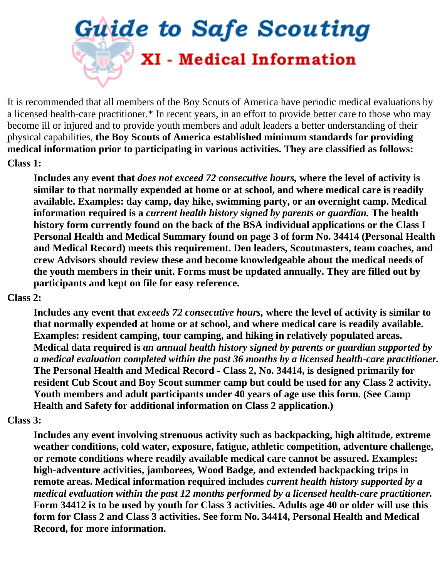# <span id="page-53-0"></span>**Guide to Safe Scouting** XI - Medical Information

It is recommended that all members of the Boy Scouts of America have periodic medical evaluations by a licensed health-care practitioner.\* In recent years, in an effort to provide better care to those who may become ill or injured and to provide youth members and adult leaders a better understanding of their physical capabilities, **the Boy Scouts of America established minimum standards for providing medical information prior to participating in various activities. They are classified as follows:**

#### **Class 1:**

**Includes any event that** *does not exceed 72 consecutive hours,* **where the level of activity is similar to that normally expended at home or at school, and where medical care is readily available. Examples: day camp, day hike, swimming party, or an overnight camp. Medical information required is a** *current health history signed by parents or guardian.* **The health history form currently found on the back of the BSA individual applications or the Class I Personal Health and Medical Summary found on page 3 of form No. 34414 (Personal Health and Medical Record) meets this requirement. Den leaders, Scoutmasters, team coaches, and crew Advisors should review these and become knowledgeable about the medical needs of the youth members in their unit. Forms must be updated annually. They are filled out by participants and kept on file for easy reference.**

#### **Class 2:**

**Includes any event that** *exceeds 72 consecutive hours,* **where the level of activity is similar to that normally expended at home or at school, and where medical care is readily available. Examples: resident camping, tour camping, and hiking in relatively populated areas. Medical data required is** *an annual health history signed by parents or guardian supported by a medical evaluation completed within the past 36 months by a licensed health-care practitioner.* **The Personal Health and Medical Record - Class 2, No. 34414, is designed primarily for resident Cub Scout and Boy Scout summer camp but could be used for any Class 2 activity. Youth members and adult participants under 40 years of age use this form. (See Camp Health and Safety for additional information on Class 2 application.)**

#### **Class 3:**

**Includes any event involving strenuous activity such as backpacking, high altitude, extreme weather conditions, cold water, exposure, fatigue, athletic competition, adventure challenge, or remote conditions where readily available medical care cannot be assured. Examples: high-adventure activities, jamborees, Wood Badge, and extended backpacking trips in remote areas. Medical information required includes** *current health history supported by a medical evaluation within the past 12 months performed by a licensed health-care practitioner.* **Form 34412 is to be used by youth for Class 3 activities. Adults age 40 or older will use this form for Class 2 and Class 3 activities. See form No. 34414, Personal Health and Medical Record, for more information.**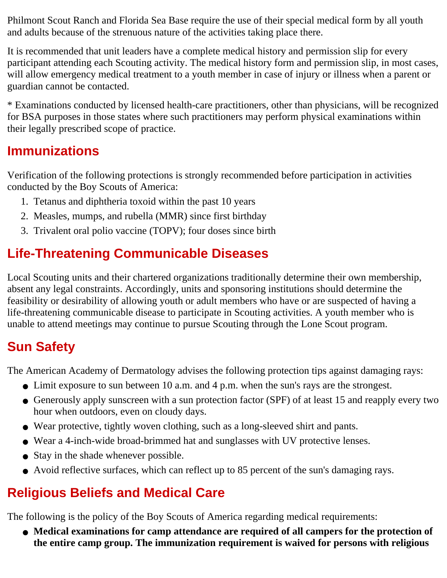Philmont Scout Ranch and Florida Sea Base require the use of their special medical form by all youth and adults because of the strenuous nature of the activities taking place there.

It is recommended that unit leaders have a complete medical history and permission slip for every participant attending each Scouting activity. The medical history form and permission slip, in most cases, will allow emergency medical treatment to a youth member in case of injury or illness when a parent or guardian cannot be contacted.

\* Examinations conducted by licensed health-care practitioners, other than physicians, will be recognized for BSA purposes in those states where such practitioners may perform physical examinations within their legally prescribed scope of practice.

### **Immunizations**

Verification of the following protections is strongly recommended before participation in activities conducted by the Boy Scouts of America:

- 1. Tetanus and diphtheria toxoid within the past 10 years
- 2. Measles, mumps, and rubella (MMR) since first birthday
- 3. Trivalent oral polio vaccine (TOPV); four doses since birth

### <span id="page-54-0"></span>**Life-Threatening Communicable Diseases**

Local Scouting units and their chartered organizations traditionally determine their own membership, absent any legal constraints. Accordingly, units and sponsoring institutions should determine the feasibility or desirability of allowing youth or adult members who have or are suspected of having a life-threatening communicable disease to participate in Scouting activities. A youth member who is unable to attend meetings may continue to pursue Scouting through the Lone Scout program.

### <span id="page-54-1"></span>**Sun Safety**

The American Academy of Dermatology advises the following protection tips against damaging rays:

- Limit exposure to sun between 10 a.m. and 4 p.m. when the sun's rays are the strongest.
- Generously apply sunscreen with a sun protection factor (SPF) of at least 15 and reapply every two hour when outdoors, even on cloudy days.
- Wear protective, tightly woven clothing, such as a long-sleeved shirt and pants.
- Wear a 4-inch-wide broad-brimmed hat and sunglasses with UV protective lenses.
- Stay in the shade whenever possible.
- Avoid reflective surfaces, which can reflect up to 85 percent of the sun's damaging rays.

### <span id="page-54-2"></span>**Religious Beliefs and Medical Care**

The following is the policy of the Boy Scouts of America regarding medical requirements:

**Medical examinations for camp attendance are required of all campers for the protection of** ● **the entire camp group. The immunization requirement is waived for persons with religious**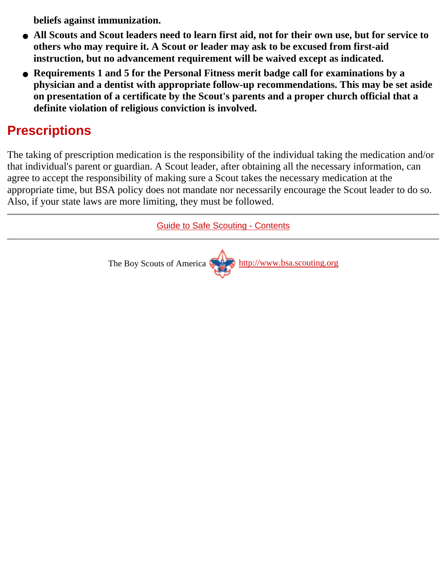**beliefs against immunization.**

- **All Scouts and Scout leaders need to learn first aid, not for their own use, but for service to others who may require it. A Scout or leader may ask to be excused from first-aid instruction, but no advancement requirement will be waived except as indicated.**
- **Requirements 1 and 5 for the Personal Fitness merit badge call for examinations by a physician and a dentist with appropriate follow-up recommendations. This may be set aside on presentation of a certificate by the Scout's parents and a proper church official that a definite violation of religious conviction is involved.**

### <span id="page-55-0"></span>**Prescriptions**

The taking of prescription medication is the responsibility of the individual taking the medication and/or that individual's parent or guardian. A Scout leader, after obtaining all the necessary information, can agree to accept the responsibility of making sure a Scout takes the necessary medication at the appropriate time, but BSA policy does not mandate nor necessarily encourage the Scout leader to do so. Also, if your state laws are more limiting, they must be followed.

[Guide to Safe Scouting - Contents](#page-0-0)

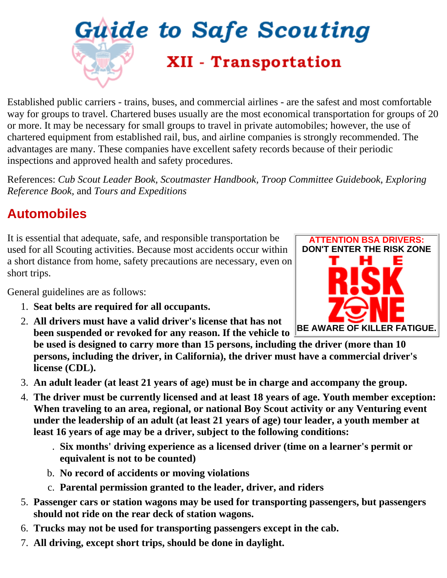<span id="page-56-0"></span>

Established public carriers - trains, buses, and commercial airlines - are the safest and most comfortable way for groups to travel. Chartered buses usually are the most economical transportation for groups of 20 or more. It may be necessary for small groups to travel in private automobiles; however, the use of chartered equipment from established rail, bus, and airline companies is strongly recommended. The advantages are many. These companies have excellent safety records because of their periodic inspections and approved health and safety procedures.

References: *Cub Scout Leader Book, Scoutmaster Handbook, Troop Committee Guidebook, Exploring Reference Book,* and *Tours and Expeditions*

### <span id="page-56-1"></span>**Automobiles**

It is essential that adequate, safe, and responsible transportation be used for all Scouting activities. Because most accidents occur within a short distance from home, safety precautions are necessary, even on short trips.

General guidelines are as follows:

- 1. **Seat belts are required for all occupants.**
- **All drivers must have a valid driver's license that has not** 2. **been suspended or revoked for any reason. If the vehicle to**
- **be used is designed to carry more than 15 persons, including the driver (more than 10 persons, including the driver, in California), the driver must have a commercial driver's license (CDL).**
- 3. **An adult leader (at least 21 years of age) must be in charge and accompany the group.**
- **The driver must be currently licensed and at least 18 years of age. Youth member exception:** 4. **When traveling to an area, regional, or national Boy Scout activity or any Venturing event under the leadership of an adult (at least 21 years of age) tour leader, a youth member at least 16 years of age may be a driver, subject to the following conditions:**
	- **Six months' driving experience as a licensed driver (time on a learner's permit or** . **equivalent is not to be counted)**
	- b. **No record of accidents or moving violations**
	- c. **Parental permission granted to the leader, driver, and riders**
- **Passenger cars or station wagons may be used for transporting passengers, but passengers** 5. **should not ride on the rear deck of station wagons.**
- 6. **Trucks may not be used for transporting passengers except in the cab.**
- 7. **All driving, except short trips, should be done in daylight.**

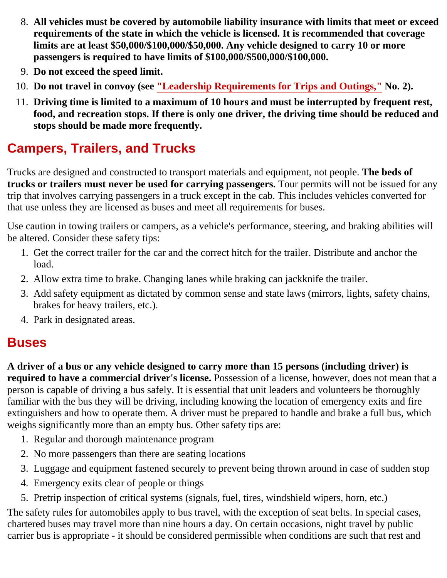- **All vehicles must be covered by automobile liability insurance with limits that meet or exceed** 8. **requirements of the state in which the vehicle is licensed. It is recommended that coverage limits are at least \$50,000/\$100,000/\$50,000. Any vehicle designed to carry 10 or more passengers is required to have limits of \$100,000/\$500,000/\$100,000.**
- 9. **Do not exceed the speed limit.**
- 10. **Do not travel in convoy (see ["Leadership Requirements for Trips and Outings,"](#page-5-1) No. 2).**
- **Driving time is limited to a maximum of 10 hours and must be interrupted by frequent rest,** 11. **food, and recreation stops. If there is only one driver, the driving time should be reduced and stops should be made more frequently.**

### <span id="page-57-0"></span>**Campers, Trailers, and Trucks**

Trucks are designed and constructed to transport materials and equipment, not people. **The beds of trucks or trailers must never be used for carrying passengers.** Tour permits will not be issued for any trip that involves carrying passengers in a truck except in the cab. This includes vehicles converted for that use unless they are licensed as buses and meet all requirements for buses.

Use caution in towing trailers or campers, as a vehicle's performance, steering, and braking abilities will be altered. Consider these safety tips:

- 1. Get the correct trailer for the car and the correct hitch for the trailer. Distribute and anchor the load.
- 2. Allow extra time to brake. Changing lanes while braking can jackknife the trailer.
- Add safety equipment as dictated by common sense and state laws (mirrors, lights, safety chains, 3. brakes for heavy trailers, etc.).
- 4. Park in designated areas.

#### <span id="page-57-1"></span>**Buses**

**A driver of a bus or any vehicle designed to carry more than 15 persons (including driver) is required to have a commercial driver's license.** Possession of a license, however, does not mean that a person is capable of driving a bus safely. It is essential that unit leaders and volunteers be thoroughly familiar with the bus they will be driving, including knowing the location of emergency exits and fire extinguishers and how to operate them. A driver must be prepared to handle and brake a full bus, which weighs significantly more than an empty bus. Other safety tips are:

- 1. Regular and thorough maintenance program
- 2. No more passengers than there are seating locations
- 3. Luggage and equipment fastened securely to prevent being thrown around in case of sudden stop
- 4. Emergency exits clear of people or things
- 5. Pretrip inspection of critical systems (signals, fuel, tires, windshield wipers, horn, etc.)

The safety rules for automobiles apply to bus travel, with the exception of seat belts. In special cases, chartered buses may travel more than nine hours a day. On certain occasions, night travel by public carrier bus is appropriate - it should be considered permissible when conditions are such that rest and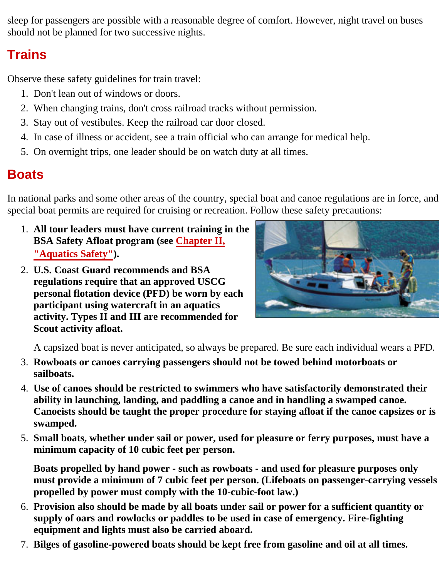sleep for passengers are possible with a reasonable degree of comfort. However, night travel on buses should not be planned for two successive nights.

### <span id="page-58-0"></span>**Trains**

Observe these safety guidelines for train travel:

- 1. Don't lean out of windows or doors.
- 2. When changing trains, don't cross railroad tracks without permission.
- 3. Stay out of vestibules. Keep the railroad car door closed.
- 4. In case of illness or accident, see a train official who can arrange for medical help.
- 5. On overnight trips, one leader should be on watch duty at all times.

### <span id="page-58-1"></span>**Boats**

In national parks and some other areas of the country, special boat and canoe regulations are in force, and special boat permits are required for cruising or recreation. Follow these safety precautions:

- **All tour leaders must have current training in the** 1. **BSA Safety Afloat program (see [Chapter II,](#page-7-0) ["Aquatics Safety"](#page-7-0)).**
- **U.S. Coast Guard recommends and BSA** 2. **regulations require that an approved USCG personal flotation device (PFD) be worn by each participant using watercraft in an aquatics activity. Types II and III are recommended for Scout activity afloat.**



A capsized boat is never anticipated, so always be prepared. Be sure each individual wears a PFD.

- **Rowboats or canoes carrying passengers should not be towed behind motorboats or** 3. **sailboats.**
- **Use of canoes should be restricted to swimmers who have satisfactorily demonstrated their** 4. **ability in launching, landing, and paddling a canoe and in handling a swamped canoe. Canoeists should be taught the proper procedure for staying afloat if the canoe capsizes or is swamped.**
- **Small boats, whether under sail or power, used for pleasure or ferry purposes, must have a** 5. **minimum capacity of 10 cubic feet per person.**

**Boats propelled by hand power - such as rowboats - and used for pleasure purposes only must provide a minimum of 7 cubic feet per person. (Lifeboats on passenger-carrying vessels propelled by power must comply with the 10-cubic-foot law.)**

- **Provision also should be made by all boats under sail or power for a sufficient quantity or** 6. **supply of oars and rowlocks or paddles to be used in case of emergency. Fire-fighting equipment and lights must also be carried aboard.**
- 7. **Bilges of gasoline-powered boats should be kept free from gasoline and oil at all times.**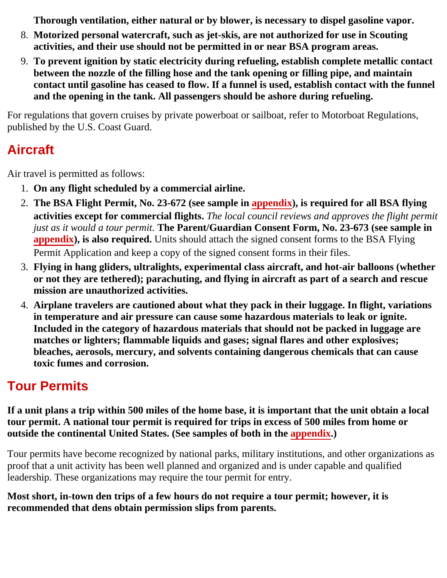**Thorough ventilation, either natural or by blower, is necessary to dispel gasoline vapor.**

- **Motorized personal watercraft, such as jet-skis, are not authorized for use in Scouting** 8. **activities, and their use should not be permitted in or near BSA program areas.**
- **To prevent ignition by static electricity during refueling, establish complete metallic contact** 9. **between the nozzle of the filling hose and the tank opening or filling pipe, and maintain contact until gasoline has ceased to flow. If a funnel is used, establish contact with the funnel and the opening in the tank. All passengers should be ashore during refueling.**

For regulations that govern cruises by private powerboat or sailboat, refer to Motorboat Regulations, published by the U.S. Coast Guard.

### <span id="page-59-0"></span>**Aircraft**

Air travel is permitted as follows:

- 1. **On any flight scheduled by a commercial airline.**
- **The BSA Flight Permit, No. 23-672 (see sample in [appendix](http://www.scouting.org/pubs/gss/gssax.html)), is required for all BSA flying** 2. **activities except for commercial flights.** *The local council reviews and approves the flight permit just as it would a tour permit.* **The Parent/Guardian Consent Form, No. 23-673 (see sample in [appendix](http://www.scouting.org/pubs/gss/gssax.html)), is also required.** Units should attach the signed consent forms to the BSA Flying Permit Application and keep a copy of the signed consent forms in their files.
- **Flying in hang gliders, ultralights, experimental class aircraft, and hot-air balloons (whether** 3. **or not they are tethered); parachuting, and flying in aircraft as part of a search and rescue mission are unauthorized activities.**
- **Airplane travelers are cautioned about what they pack in their luggage. In flight, variations** 4. **in temperature and air pressure can cause some hazardous materials to leak or ignite. Included in the category of hazardous materials that should not be packed in luggage are matches or lighters; flammable liquids and gases; signal flares and other explosives; bleaches, aerosols, mercury, and solvents containing dangerous chemicals that can cause toxic fumes and corrosion.**

### <span id="page-59-1"></span>**Tour Permits**

**If a unit plans a trip within 500 miles of the home base, it is important that the unit obtain a local tour permit. A national tour permit is required for trips in excess of 500 miles from home or outside the continental United States. (See samples of both in the [appendix](http://www.scouting.org/pubs/gss/gssax.html).)**

Tour permits have become recognized by national parks, military institutions, and other organizations as proof that a unit activity has been well planned and organized and is under capable and qualified leadership. These organizations may require the tour permit for entry.

**Most short, in-town den trips of a few hours do not require a tour permit; however, it is recommended that dens obtain permission slips from parents.**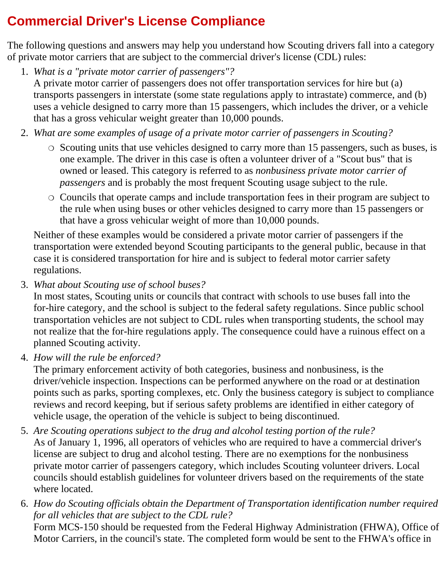### <span id="page-60-0"></span>**Commercial Driver's License Compliance**

The following questions and answers may help you understand how Scouting drivers fall into a category of private motor carriers that are subject to the commercial driver's license (CDL) rules:

- *What is a "private motor carrier of passengers"?* 1. A private motor carrier of passengers does not offer transportation services for hire but (a) transports passengers in interstate (some state regulations apply to intrastate) commerce, and (b) uses a vehicle designed to carry more than 15 passengers, which includes the driver, or a vehicle that has a gross vehicular weight greater than 10,000 pounds.
- *What are some examples of usage of a private motor carrier of passengers in Scouting?* 2.
	- $\circ$  Scouting units that use vehicles designed to carry more than 15 passengers, such as buses, is one example. The driver in this case is often a volunteer driver of a "Scout bus" that is owned or leased. This category is referred to as *nonbusiness private motor carrier of passengers* and is probably the most frequent Scouting usage subject to the rule.
	- $\circ$  Councils that operate camps and include transportation fees in their program are subject to the rule when using buses or other vehicles designed to carry more than 15 passengers or that have a gross vehicular weight of more than 10,000 pounds.

Neither of these examples would be considered a private motor carrier of passengers if the transportation were extended beyond Scouting participants to the general public, because in that case it is considered transportation for hire and is subject to federal motor carrier safety regulations.

*What about Scouting use of school buses?* 3.

In most states, Scouting units or councils that contract with schools to use buses fall into the for-hire category, and the school is subject to the federal safety regulations. Since public school transportation vehicles are not subject to CDL rules when transporting students, the school may not realize that the for-hire regulations apply. The consequence could have a ruinous effect on a planned Scouting activity.

*How will the rule be enforced?* 4.

The primary enforcement activity of both categories, business and nonbusiness, is the driver/vehicle inspection. Inspections can be performed anywhere on the road or at destination points such as parks, sporting complexes, etc. Only the business category is subject to compliance reviews and record keeping, but if serious safety problems are identified in either category of vehicle usage, the operation of the vehicle is subject to being discontinued.

- *Are Scouting operations subject to the drug and alcohol testing portion of the rule?* 5. As of January 1, 1996, all operators of vehicles who are required to have a commercial driver's license are subject to drug and alcohol testing. There are no exemptions for the nonbusiness private motor carrier of passengers category, which includes Scouting volunteer drivers. Local councils should establish guidelines for volunteer drivers based on the requirements of the state where located.
- *How do Scouting officials obtain the Department of Transportation identification number required* 6. *for all vehicles that are subject to the CDL rule?*

Form MCS-150 should be requested from the Federal Highway Administration (FHWA), Office of Motor Carriers, in the council's state. The completed form would be sent to the FHWA's office in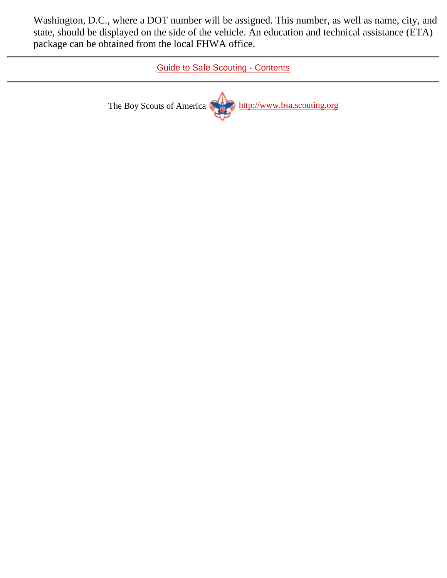Washington, D.C., where a DOT number will be assigned. This number, as well as name, city, and state, should be displayed on the side of the vehicle. An education and technical assistance (ETA) package can be obtained from the local FHWA office.

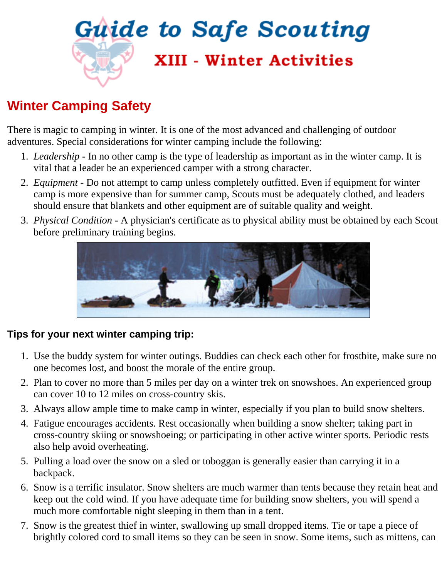<span id="page-62-0"></span>

### **Winter Camping Safety**

There is magic to camping in winter. It is one of the most advanced and challenging of outdoor adventures. Special considerations for winter camping include the following:

- *Leadership* In no other camp is the type of leadership as important as in the winter camp. It is 1. vital that a leader be an experienced camper with a strong character.
- *Equipment* Do not attempt to camp unless completely outfitted. Even if equipment for winter 2. camp is more expensive than for summer camp, Scouts must be adequately clothed, and leaders should ensure that blankets and other equipment are of suitable quality and weight.
- *Physical Condition* A physician's certificate as to physical ability must be obtained by each Scout 3. before preliminary training begins.



#### **Tips for your next winter camping trip:**

- Use the buddy system for winter outings. Buddies can check each other for frostbite, make sure no 1. one becomes lost, and boost the morale of the entire group.
- Plan to cover no more than 5 miles per day on a winter trek on snowshoes. An experienced group 2. can cover 10 to 12 miles on cross-country skis.
- 3. Always allow ample time to make camp in winter, especially if you plan to build snow shelters.
- Fatigue encourages accidents. Rest occasionally when building a snow shelter; taking part in 4. cross-country skiing or snowshoeing; or participating in other active winter sports. Periodic rests also help avoid overheating.
- 5. Pulling a load over the snow on a sled or toboggan is generally easier than carrying it in a backpack.
- Snow is a terrific insulator. Snow shelters are much warmer than tents because they retain heat and 6. keep out the cold wind. If you have adequate time for building snow shelters, you will spend a much more comfortable night sleeping in them than in a tent.
- 7. Snow is the greatest thief in winter, swallowing up small dropped items. Tie or tape a piece of brightly colored cord to small items so they can be seen in snow. Some items, such as mittens, can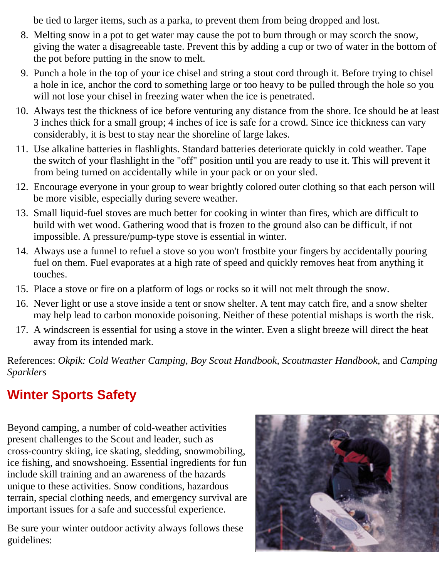be tied to larger items, such as a parka, to prevent them from being dropped and lost.

- Melting snow in a pot to get water may cause the pot to burn through or may scorch the snow, 8. giving the water a disagreeable taste. Prevent this by adding a cup or two of water in the bottom of the pot before putting in the snow to melt.
- 9. Punch a hole in the top of your ice chisel and string a stout cord through it. Before trying to chisel a hole in ice, anchor the cord to something large or too heavy to be pulled through the hole so you will not lose your chisel in freezing water when the ice is penetrated.
- Always test the thickness of ice before venturing any distance from the shore. Ice should be at least 10. 3 inches thick for a small group; 4 inches of ice is safe for a crowd. Since ice thickness can vary considerably, it is best to stay near the shoreline of large lakes.
- 11. Use alkaline batteries in flashlights. Standard batteries deteriorate quickly in cold weather. Tape the switch of your flashlight in the "off" position until you are ready to use it. This will prevent it from being turned on accidentally while in your pack or on your sled.
- Encourage everyone in your group to wear brightly colored outer clothing so that each person will 12. be more visible, especially during severe weather.
- 13. Small liquid-fuel stoves are much better for cooking in winter than fires, which are difficult to build with wet wood. Gathering wood that is frozen to the ground also can be difficult, if not impossible. A pressure/pump-type stove is essential in winter.
- Always use a funnel to refuel a stove so you won't frostbite your fingers by accidentally pouring 14. fuel on them. Fuel evaporates at a high rate of speed and quickly removes heat from anything it touches.
- 15. Place a stove or fire on a platform of logs or rocks so it will not melt through the snow.
- 16. Never light or use a stove inside a tent or snow shelter. A tent may catch fire, and a snow shelter may help lead to carbon monoxide poisoning. Neither of these potential mishaps is worth the risk.
- 17. A windscreen is essential for using a stove in the winter. Even a slight breeze will direct the heat away from its intended mark.

References: *Okpik: Cold Weather Camping, Boy Scout Handbook, Scoutmaster Handbook,* and *Camping Sparklers*

### **Winter Sports Safety**

Beyond camping, a number of cold-weather activities present challenges to the Scout and leader, such as cross-country skiing, ice skating, sledding, snowmobiling, ice fishing, and snowshoeing. Essential ingredients for fun include skill training and an awareness of the hazards unique to these activities. Snow conditions, hazardous terrain, special clothing needs, and emergency survival are important issues for a safe and successful experience.

Be sure your winter outdoor activity always follows these guidelines:

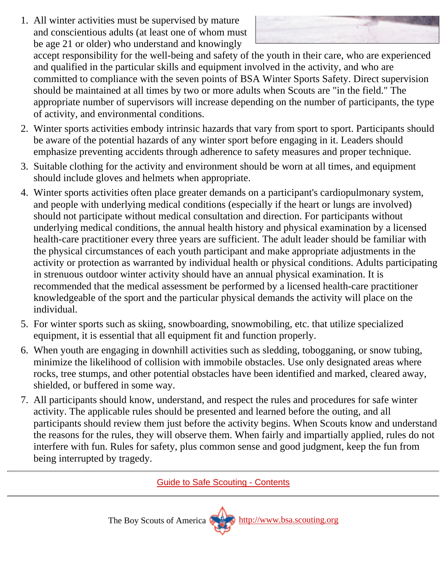All winter activities must be supervised by mature 1. and conscientious adults (at least one of whom must be age 21 or older) who understand and knowingly



accept responsibility for the well-being and safety of the youth in their care, who are experienced and qualified in the particular skills and equipment involved in the activity, and who are committed to compliance with the seven points of BSA Winter Sports Safety. Direct supervision should be maintained at all times by two or more adults when Scouts are "in the field." The appropriate number of supervisors will increase depending on the number of participants, the type of activity, and environmental conditions.

- 2. Winter sports activities embody intrinsic hazards that vary from sport to sport. Participants should be aware of the potential hazards of any winter sport before engaging in it. Leaders should emphasize preventing accidents through adherence to safety measures and proper technique.
- Suitable clothing for the activity and environment should be worn at all times, and equipment 3. should include gloves and helmets when appropriate.
- Winter sports activities often place greater demands on a participant's cardiopulmonary system, 4. and people with underlying medical conditions (especially if the heart or lungs are involved) should not participate without medical consultation and direction. For participants without underlying medical conditions, the annual health history and physical examination by a licensed health-care practitioner every three years are sufficient. The adult leader should be familiar with the physical circumstances of each youth participant and make appropriate adjustments in the activity or protection as warranted by individual health or physical conditions. Adults participating in strenuous outdoor winter activity should have an annual physical examination. It is recommended that the medical assessment be performed by a licensed health-care practitioner knowledgeable of the sport and the particular physical demands the activity will place on the individual.
- 5. For winter sports such as skiing, snowboarding, snowmobiling, etc. that utilize specialized equipment, it is essential that all equipment fit and function properly.
- When youth are engaging in downhill activities such as sledding, tobogganing, or snow tubing, 6. minimize the likelihood of collision with immobile obstacles. Use only designated areas where rocks, tree stumps, and other potential obstacles have been identified and marked, cleared away, shielded, or buffered in some way.
- All participants should know, understand, and respect the rules and procedures for safe winter 7. activity. The applicable rules should be presented and learned before the outing, and all participants should review them just before the activity begins. When Scouts know and understand the reasons for the rules, they will observe them. When fairly and impartially applied, rules do not interfere with fun. Rules for safety, plus common sense and good judgment, keep the fun from being interrupted by tragedy.

[Guide to Safe Scouting - Contents](#page-0-0)

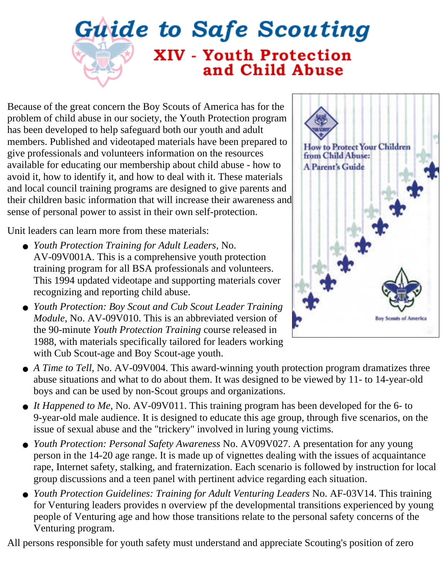# <span id="page-65-0"></span>**Guide to Safe Scouting XIV - Youth Protection** and Child Abuse

Because of the great concern the Boy Scouts of America has for the problem of child abuse in our society, the Youth Protection program has been developed to help safeguard both our youth and adult members. Published and videotaped materials have been prepared to give professionals and volunteers information on the resources available for educating our membership about child abuse - how to avoid it, how to identify it, and how to deal with it. These materials and local council training programs are designed to give parents and their children basic information that will increase their awareness and sense of personal power to assist in their own self-protection.

Unit leaders can learn more from these materials:

- *Youth Protection Training for Adult Leaders,* No. AV-09V001A. This is a comprehensive youth protection training program for all BSA professionals and volunteers. This 1994 updated videotape and supporting materials cover recognizing and reporting child abuse.
- Youth Protection: Boy Scout and Cub Scout Leader Training *Module,* No. AV-09V010. This is an abbreviated version of the 90-minute *Youth Protection Training* course released in 1988, with materials specifically tailored for leaders working with Cub Scout-age and Boy Scout-age youth.



- A Time to Tell, No. AV-09V004. This award-winning youth protection program dramatizes three abuse situations and what to do about them. It was designed to be viewed by 11- to 14-year-old boys and can be used by non-Scout groups and organizations.
- It Happened to Me, No. AV-09V011. This training program has been developed for the 6- to 9-year-old male audience. It is designed to educate this age group, through five scenarios, on the issue of sexual abuse and the "trickery" involved in luring young victims.
- Youth Protection: Personal Safety Awareness No. AV09V027. A presentation for any young person in the 14-20 age range. It is made up of vignettes dealing with the issues of acquaintance rape, Internet safety, stalking, and fraternization. Each scenario is followed by instruction for local group discussions and a teen panel with pertinent advice regarding each situation.
- Youth Protection Guidelines: Training for Adult Venturing Leaders No. AF-03V14. This training for Venturing leaders provides n overview pf the developmental transitions experienced by young people of Venturing age and how those transitions relate to the personal safety concerns of the Venturing program.

All persons responsible for youth safety must understand and appreciate Scouting's position of zero